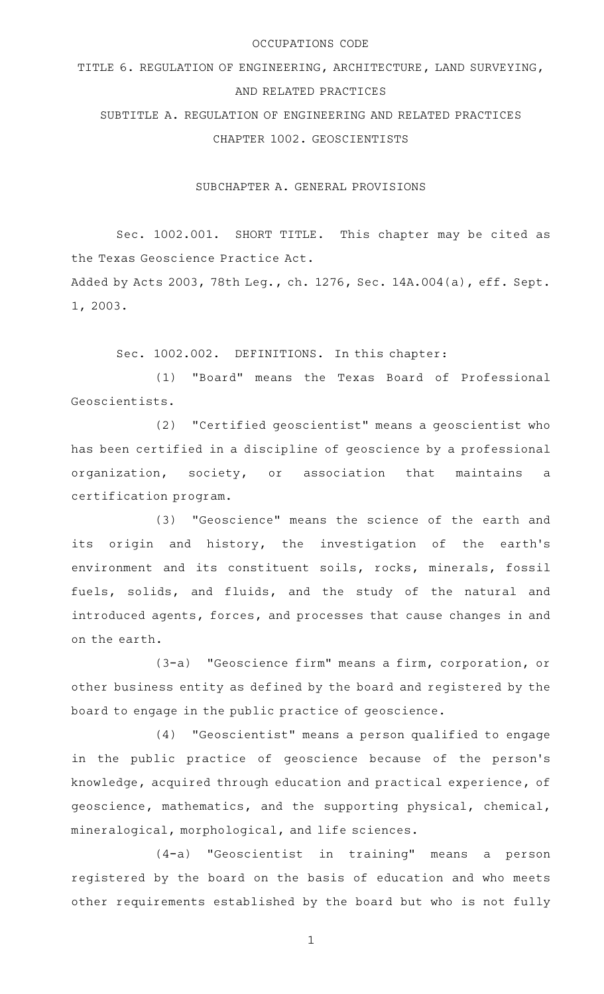#### OCCUPATIONS CODE

# TITLE 6. REGULATION OF ENGINEERING, ARCHITECTURE, LAND SURVEYING, AND RELATED PRACTICES

SUBTITLE A. REGULATION OF ENGINEERING AND RELATED PRACTICES CHAPTER 1002. GEOSCIENTISTS

SUBCHAPTER A. GENERAL PROVISIONS

Sec. 1002.001. SHORT TITLE. This chapter may be cited as the Texas Geoscience Practice Act.

Added by Acts 2003, 78th Leg., ch. 1276, Sec. 14A.004(a), eff. Sept. 1, 2003.

Sec. 1002.002. DEFINITIONS. In this chapter:

(1) "Board" means the Texas Board of Professional Geoscientists.

(2) "Certified geoscientist" means a geoscientist who has been certified in a discipline of geoscience by a professional organization, society, or association that maintains a certification program.

(3) "Geoscience" means the science of the earth and its origin and history, the investigation of the earth's environment and its constituent soils, rocks, minerals, fossil fuels, solids, and fluids, and the study of the natural and introduced agents, forces, and processes that cause changes in and on the earth.

(3-a) "Geoscience firm" means a firm, corporation, or other business entity as defined by the board and registered by the board to engage in the public practice of geoscience.

(4) "Geoscientist" means a person qualified to engage in the public practice of geoscience because of the person's knowledge, acquired through education and practical experience, of geoscience, mathematics, and the supporting physical, chemical, mineralogical, morphological, and life sciences.

(4-a) "Geoscientist in training" means a person registered by the board on the basis of education and who meets other requirements established by the board but who is not fully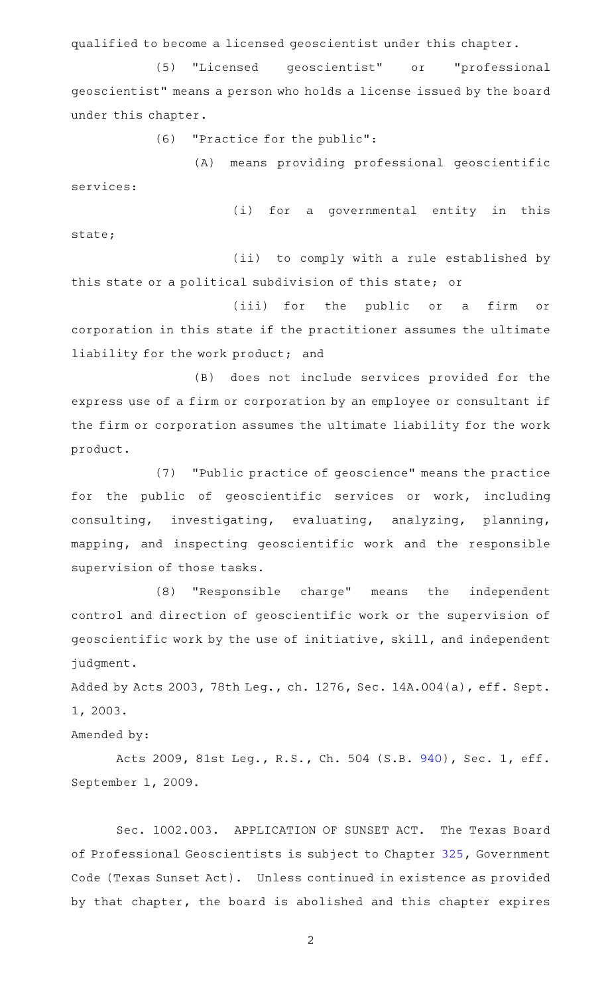qualified to become a licensed geoscientist under this chapter.

(5) "Licensed geoscientist" or "professional geoscientist" means a person who holds a license issued by the board under this chapter.

 $(6)$  "Practice for the public":

(A) means providing professional geoscientific services:

(i) for a governmental entity in this state;

(ii) to comply with a rule established by this state or a political subdivision of this state; or

(iii) for the public or a firm or corporation in this state if the practitioner assumes the ultimate liability for the work product; and

(B) does not include services provided for the express use of a firm or corporation by an employee or consultant if the firm or corporation assumes the ultimate liability for the work product.

(7) "Public practice of geoscience" means the practice for the public of geoscientific services or work, including consulting, investigating, evaluating, analyzing, planning, mapping, and inspecting geoscientific work and the responsible supervision of those tasks.

(8) "Responsible charge" means the independent control and direction of geoscientific work or the supervision of geoscientific work by the use of initiative, skill, and independent judgment.

Added by Acts 2003, 78th Leg., ch. 1276, Sec. 14A.004(a), eff. Sept. 1, 2003.

Amended by:

Acts 2009, 81st Leg., R.S., Ch. 504 (S.B. [940](http://www.legis.state.tx.us/tlodocs/81R/billtext/html/SB00940F.HTM)), Sec. 1, eff. September 1, 2009.

Sec. 1002.003. APPLICATION OF SUNSET ACT. The Texas Board of Professional Geoscientists is subject to Chapter [325,](http://www.statutes.legis.state.tx.us/GetStatute.aspx?Code=GV&Value=325) Government Code (Texas Sunset Act). Unless continued in existence as provided by that chapter, the board is abolished and this chapter expires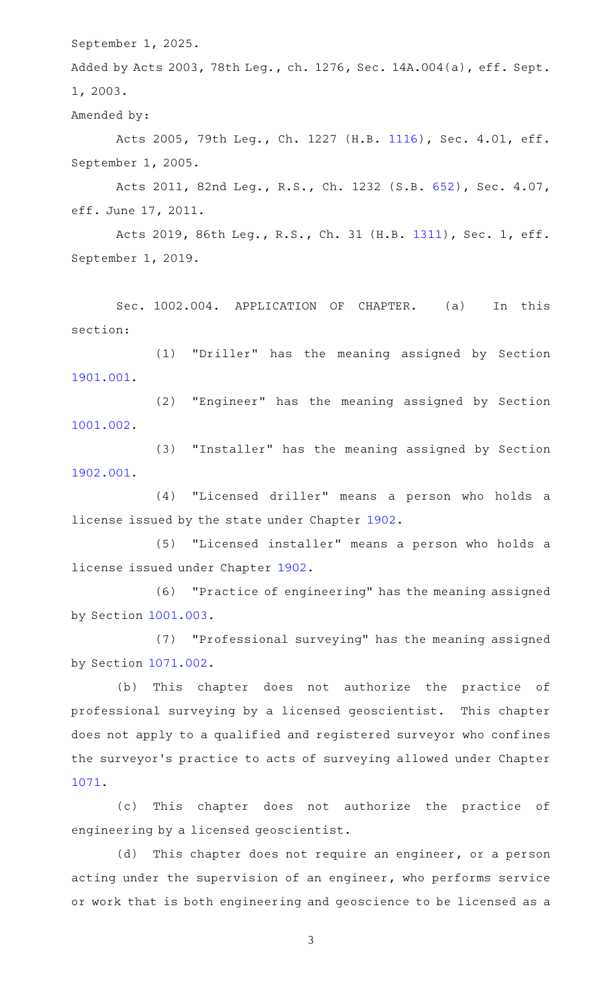September 1, 2025.

Added by Acts 2003, 78th Leg., ch. 1276, Sec. 14A.004(a), eff. Sept. 1, 2003.

Amended by:

Acts 2005, 79th Leg., Ch. 1227 (H.B. [1116\)](http://www.legis.state.tx.us/tlodocs/79R/billtext/html/HB01116F.HTM), Sec. 4.01, eff. September 1, 2005.

Acts 2011, 82nd Leg., R.S., Ch. 1232 (S.B. [652\)](http://www.legis.state.tx.us/tlodocs/82R/billtext/html/SB00652F.HTM), Sec. 4.07, eff. June 17, 2011.

Acts 2019, 86th Leg., R.S., Ch. 31 (H.B. [1311](http://www.legis.state.tx.us/tlodocs/86R/billtext/html/HB01311F.HTM)), Sec. 1, eff. September 1, 2019.

Sec. 1002.004. APPLICATION OF CHAPTER. (a) In this section:

(1) "Driller" has the meaning assigned by Section [1901.001](http://www.statutes.legis.state.tx.us/GetStatute.aspx?Code=OC&Value=1901.001).

(2) "Engineer" has the meaning assigned by Section [1001.002](http://www.statutes.legis.state.tx.us/GetStatute.aspx?Code=OC&Value=1001.002).

(3) "Installer" has the meaning assigned by Section [1902.001](http://www.statutes.legis.state.tx.us/GetStatute.aspx?Code=OC&Value=1902.001).

(4) "Licensed driller" means a person who holds a license issued by the state under Chapter [1902.](http://www.statutes.legis.state.tx.us/GetStatute.aspx?Code=OC&Value=1902)

(5) "Licensed installer" means a person who holds a license issued under Chapter [1902](http://www.statutes.legis.state.tx.us/GetStatute.aspx?Code=OC&Value=1902).

(6) "Practice of engineering" has the meaning assigned by Section [1001.003](http://www.statutes.legis.state.tx.us/GetStatute.aspx?Code=OC&Value=1001.003).

(7) "Professional surveying" has the meaning assigned by Section [1071.002](http://www.statutes.legis.state.tx.us/GetStatute.aspx?Code=OC&Value=1071.002).

(b) This chapter does not authorize the practice of professional surveying by a licensed geoscientist. This chapter does not apply to a qualified and registered surveyor who confines the surveyor 's practice to acts of surveying allowed under Chapter [1071](http://www.statutes.legis.state.tx.us/GetStatute.aspx?Code=OC&Value=1071).

(c) This chapter does not authorize the practice of engineering by a licensed geoscientist.

(d) This chapter does not require an engineer, or a person acting under the supervision of an engineer, who performs service or work that is both engineering and geoscience to be licensed as a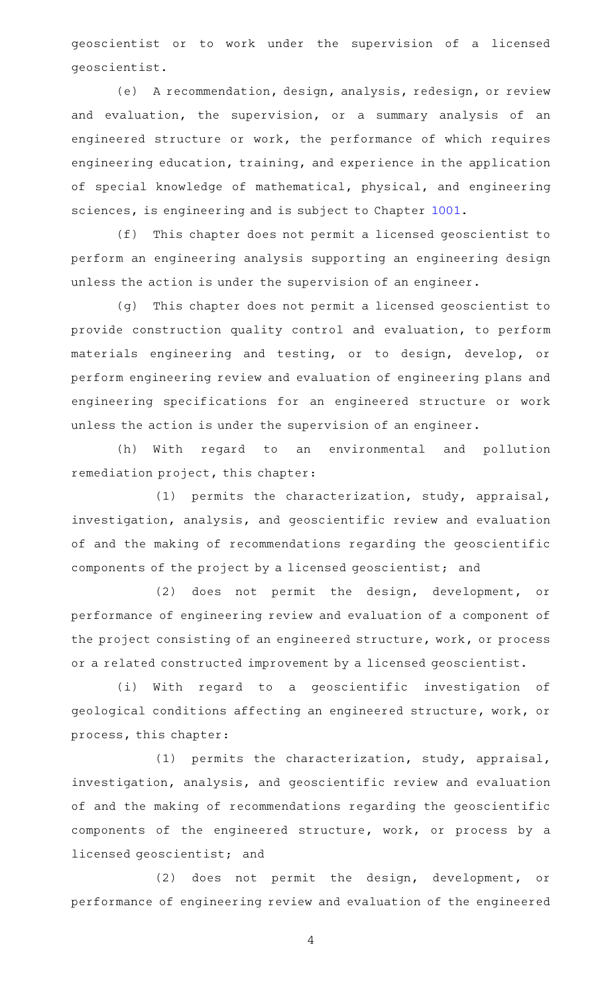geoscientist or to work under the supervision of a licensed geoscientist.

(e) A recommendation, design, analysis, redesign, or review and evaluation, the supervision, or a summary analysis of an engineered structure or work, the performance of which requires engineering education, training, and experience in the application of special knowledge of mathematical, physical, and engineering sciences, is engineering and is subject to Chapter [1001](http://www.statutes.legis.state.tx.us/GetStatute.aspx?Code=OC&Value=1001).

(f) This chapter does not permit a licensed geoscientist to perform an engineering analysis supporting an engineering design unless the action is under the supervision of an engineer.

(g) This chapter does not permit a licensed geoscientist to provide construction quality control and evaluation, to perform materials engineering and testing, or to design, develop, or perform engineering review and evaluation of engineering plans and engineering specifications for an engineered structure or work unless the action is under the supervision of an engineer.

(h) With regard to an environmental and pollution remediation project, this chapter:

(1) permits the characterization, study, appraisal, investigation, analysis, and geoscientific review and evaluation of and the making of recommendations regarding the geoscientific components of the project by a licensed geoscientist; and

(2) does not permit the design, development, or performance of engineering review and evaluation of a component of the project consisting of an engineered structure, work, or process or a related constructed improvement by a licensed geoscientist.

(i) With regard to a geoscientific investigation of geological conditions affecting an engineered structure, work, or process, this chapter:

(1) permits the characterization, study, appraisal, investigation, analysis, and geoscientific review and evaluation of and the making of recommendations regarding the geoscientific components of the engineered structure, work, or process by a licensed geoscientist; and

(2) does not permit the design, development, or performance of engineering review and evaluation of the engineered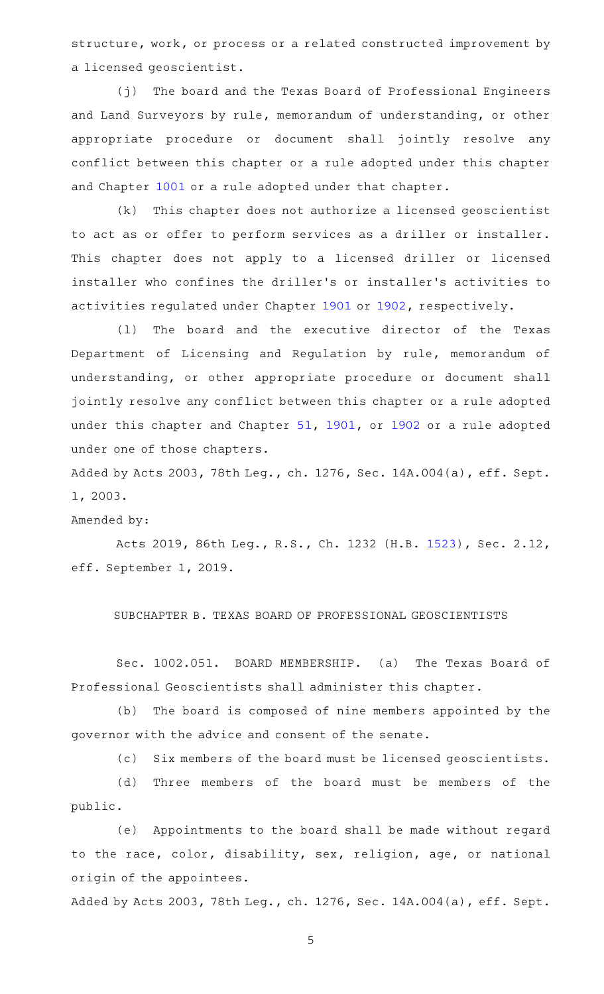structure, work, or process or a related constructed improvement by a licensed geoscientist.

(j) The board and the Texas Board of Professional Engineers and Land Surveyors by rule, memorandum of understanding, or other appropriate procedure or document shall jointly resolve any conflict between this chapter or a rule adopted under this chapter and Chapter [1001](http://www.statutes.legis.state.tx.us/GetStatute.aspx?Code=OC&Value=1001) or a rule adopted under that chapter.

(k) This chapter does not authorize a licensed geoscientist to act as or offer to perform services as a driller or installer. This chapter does not apply to a licensed driller or licensed installer who confines the driller 's or installer 's activities to activities regulated under Chapter [1901](http://www.statutes.legis.state.tx.us/GetStatute.aspx?Code=OC&Value=1901) or [1902,](http://www.statutes.legis.state.tx.us/GetStatute.aspx?Code=OC&Value=1902) respectively.

(1) The board and the executive director of the Texas Department of Licensing and Regulation by rule, memorandum of understanding, or other appropriate procedure or document shall jointly resolve any conflict between this chapter or a rule adopted under this chapter and Chapter [51](http://www.statutes.legis.state.tx.us/GetStatute.aspx?Code=OC&Value=51), [1901](http://www.statutes.legis.state.tx.us/GetStatute.aspx?Code=OC&Value=1901), or [1902](http://www.statutes.legis.state.tx.us/GetStatute.aspx?Code=OC&Value=1902) or a rule adopted under one of those chapters.

Added by Acts 2003, 78th Leg., ch. 1276, Sec. 14A.004(a), eff. Sept. 1, 2003.

#### Amended by:

Acts 2019, 86th Leg., R.S., Ch. 1232 (H.B. [1523](http://www.legis.state.tx.us/tlodocs/86R/billtext/html/HB01523F.HTM)), Sec. 2.12, eff. September 1, 2019.

#### SUBCHAPTER B. TEXAS BOARD OF PROFESSIONAL GEOSCIENTISTS

Sec. 1002.051. BOARD MEMBERSHIP. (a) The Texas Board of Professional Geoscientists shall administer this chapter.

(b) The board is composed of nine members appointed by the governor with the advice and consent of the senate.

(c) Six members of the board must be licensed geoscientists.

(d) Three members of the board must be members of the public.

(e) Appointments to the board shall be made without regard to the race, color, disability, sex, religion, age, or national origin of the appointees.

Added by Acts 2003, 78th Leg., ch. 1276, Sec. 14A.004(a), eff. Sept.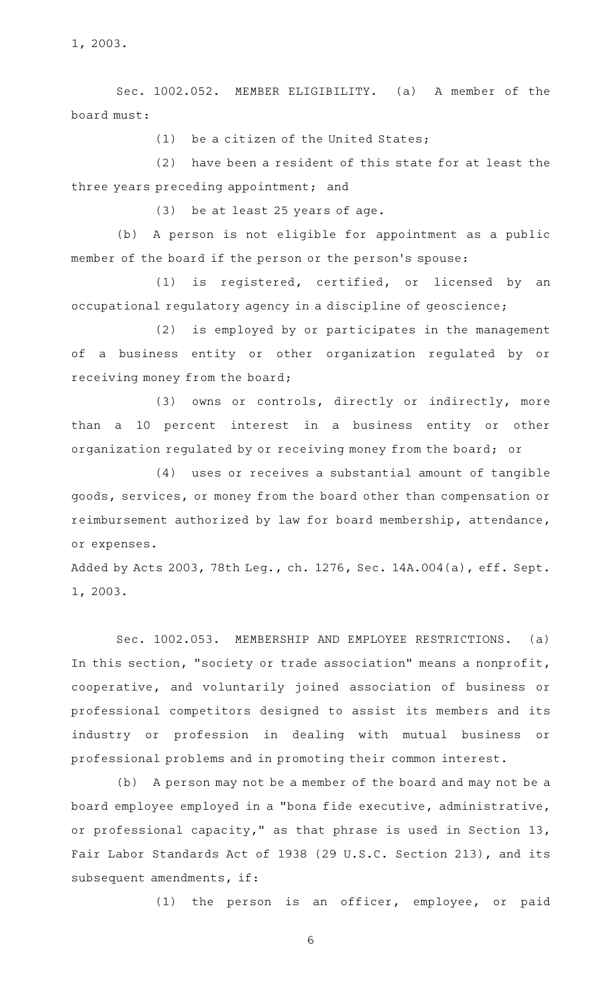1, 2003.

Sec. 1002.052. MEMBER ELIGIBILITY. (a) A member of the board must:

 $(1)$  be a citizen of the United States;

 $(2)$  have been a resident of this state for at least the three years preceding appointment; and

(3) be at least 25 years of age.

(b) A person is not eligible for appointment as a public member of the board if the person or the person 's spouse:

 $(1)$  is registered, certified, or licensed by an occupational regulatory agency in a discipline of geoscience;

(2) is employed by or participates in the management of a business entity or other organization regulated by or receiving money from the board;

(3) owns or controls, directly or indirectly, more than a 10 percent interest in a business entity or other organization regulated by or receiving money from the board; or

(4) uses or receives a substantial amount of tangible goods, services, or money from the board other than compensation or reimbursement authorized by law for board membership, attendance, or expenses.

Added by Acts 2003, 78th Leg., ch. 1276, Sec. 14A.004(a), eff. Sept. 1, 2003.

Sec. 1002.053. MEMBERSHIP AND EMPLOYEE RESTRICTIONS. (a) In this section, "society or trade association" means a nonprofit, cooperative, and voluntarily joined association of business or professional competitors designed to assist its members and its industry or profession in dealing with mutual business or professional problems and in promoting their common interest.

(b) A person may not be a member of the board and may not be a board employee employed in a "bona fide executive, administrative, or professional capacity," as that phrase is used in Section 13, Fair Labor Standards Act of 1938 (29 U.S.C. Section 213), and its subsequent amendments, if:

(1) the person is an officer, employee, or paid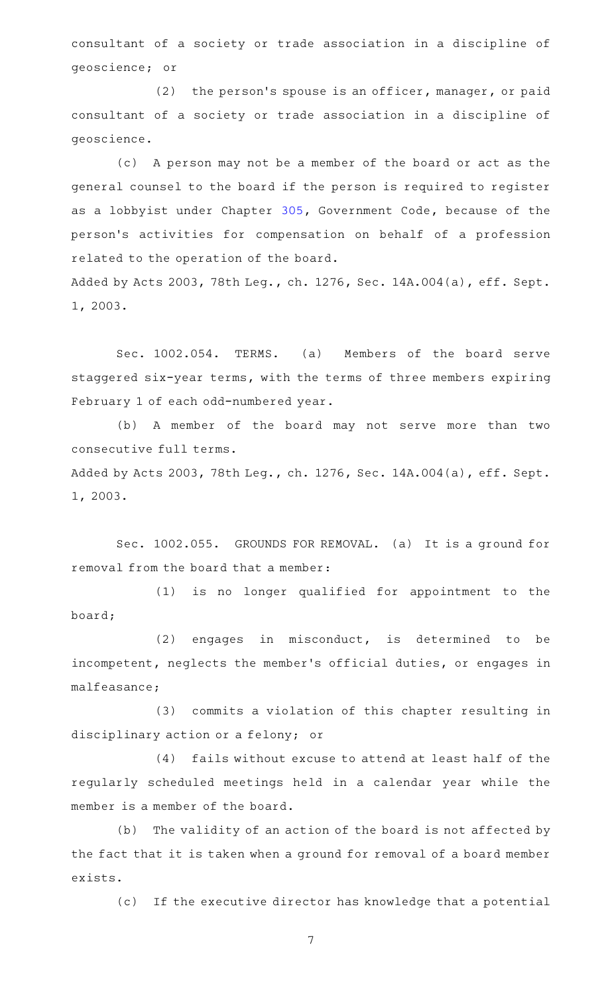consultant of a society or trade association in a discipline of geoscience; or

(2) the person's spouse is an officer, manager, or paid consultant of a society or trade association in a discipline of geoscience.

(c) A person may not be a member of the board or act as the general counsel to the board if the person is required to register as a lobbyist under Chapter [305](http://www.statutes.legis.state.tx.us/GetStatute.aspx?Code=GV&Value=305), Government Code, because of the person 's activities for compensation on behalf of a profession related to the operation of the board. Added by Acts 2003, 78th Leg., ch. 1276, Sec. 14A.004(a), eff. Sept.

1, 2003.

Sec. 1002.054. TERMS. (a) Members of the board serve staggered six-year terms, with the terms of three members expiring February 1 of each odd-numbered year.

(b) A member of the board may not serve more than two consecutive full terms.

Added by Acts 2003, 78th Leg., ch. 1276, Sec. 14A.004(a), eff. Sept. 1, 2003.

Sec. 1002.055. GROUNDS FOR REMOVAL. (a) It is a ground for removal from the board that a member:

(1) is no longer qualified for appointment to the board;

 $(2)$  engages in misconduct, is determined to be incompetent, neglects the member 's official duties, or engages in malfeasance;

(3) commits a violation of this chapter resulting in disciplinary action or a felony; or

(4) fails without excuse to attend at least half of the regularly scheduled meetings held in a calendar year while the member is a member of the board.

(b) The validity of an action of the board is not affected by the fact that it is taken when a ground for removal of a board member exists.

(c) If the executive director has knowledge that a potential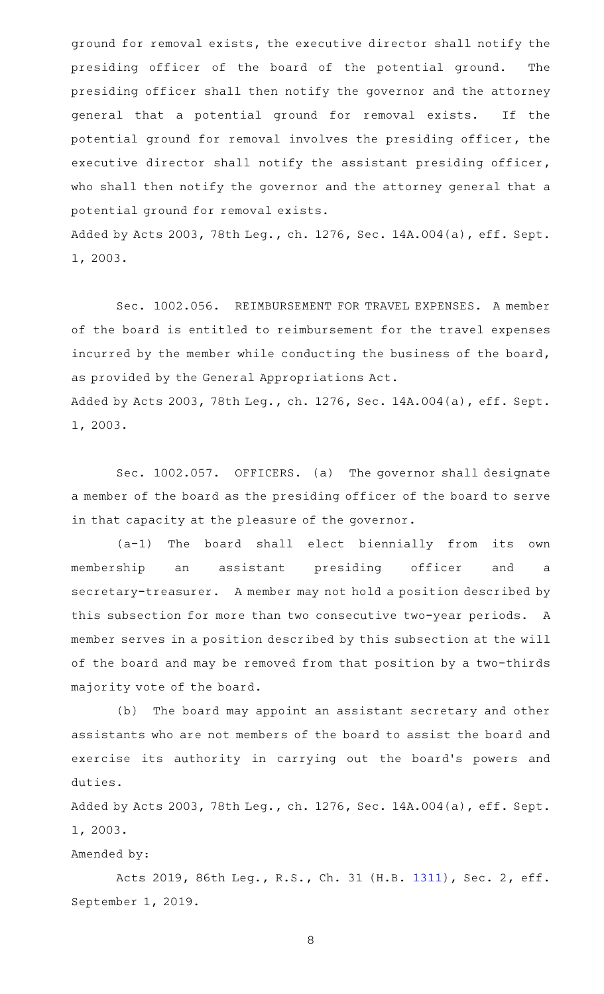ground for removal exists, the executive director shall notify the presiding officer of the board of the potential ground. The presiding officer shall then notify the governor and the attorney general that a potential ground for removal exists. If the potential ground for removal involves the presiding officer, the executive director shall notify the assistant presiding officer, who shall then notify the governor and the attorney general that a potential ground for removal exists.

Added by Acts 2003, 78th Leg., ch. 1276, Sec. 14A.004(a), eff. Sept. 1, 2003.

Sec. 1002.056. REIMBURSEMENT FOR TRAVEL EXPENSES. A member of the board is entitled to reimbursement for the travel expenses incurred by the member while conducting the business of the board, as provided by the General Appropriations Act. Added by Acts 2003, 78th Leg., ch. 1276, Sec. 14A.004(a), eff. Sept.

1, 2003.

Sec. 1002.057. OFFICERS. (a) The governor shall designate a member of the board as the presiding officer of the board to serve in that capacity at the pleasure of the governor.

(a-1) The board shall elect biennially from its own membership an assistant presiding officer and a secretary-treasurer. A member may not hold a position described by this subsection for more than two consecutive two-year periods. A member serves in a position described by this subsection at the will of the board and may be removed from that position by a two-thirds majority vote of the board.

(b) The board may appoint an assistant secretary and other assistants who are not members of the board to assist the board and exercise its authority in carrying out the board's powers and duties.

Added by Acts 2003, 78th Leg., ch. 1276, Sec. 14A.004(a), eff. Sept. 1, 2003.

Amended by:

Acts 2019, 86th Leg., R.S., Ch. 31 (H.B. [1311](http://www.legis.state.tx.us/tlodocs/86R/billtext/html/HB01311F.HTM)), Sec. 2, eff. September 1, 2019.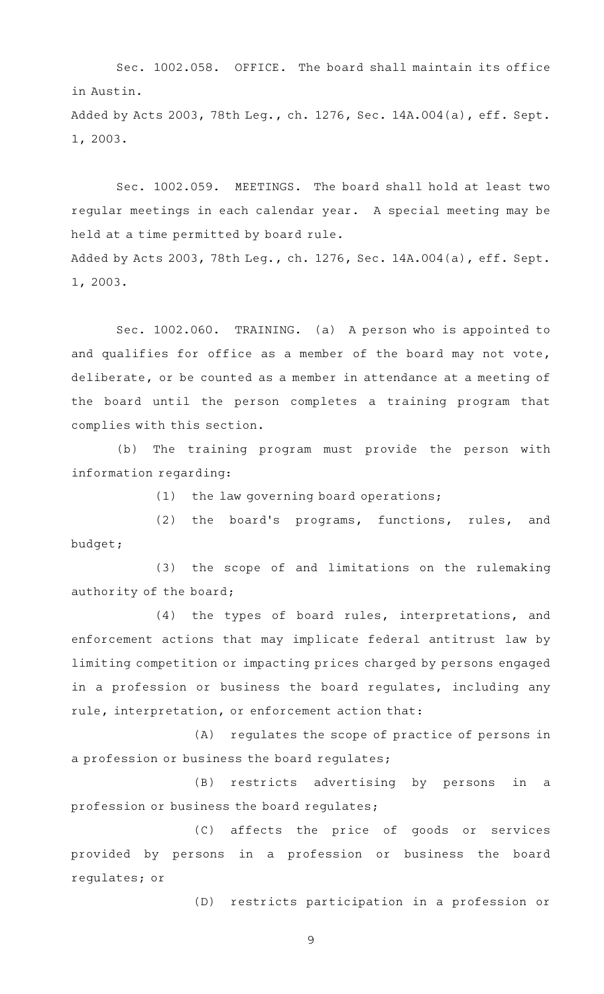Sec. 1002.058. OFFICE. The board shall maintain its office in Austin.

Added by Acts 2003, 78th Leg., ch. 1276, Sec. 14A.004(a), eff. Sept. 1, 2003.

Sec. 1002.059. MEETINGS. The board shall hold at least two regular meetings in each calendar year. A special meeting may be held at a time permitted by board rule. Added by Acts 2003, 78th Leg., ch. 1276, Sec. 14A.004(a), eff. Sept. 1, 2003.

Sec. 1002.060. TRAINING. (a) A person who is appointed to and qualifies for office as a member of the board may not vote, deliberate, or be counted as a member in attendance at a meeting of the board until the person completes a training program that complies with this section.

(b) The training program must provide the person with information regarding:

 $(1)$  the law governing board operations;

(2) the board's programs, functions, rules, and budget;

(3) the scope of and limitations on the rulemaking authority of the board;

(4) the types of board rules, interpretations, and enforcement actions that may implicate federal antitrust law by limiting competition or impacting prices charged by persons engaged in a profession or business the board regulates, including any rule, interpretation, or enforcement action that:

(A) regulates the scope of practice of persons in a profession or business the board regulates;

(B) restricts advertising by persons in a profession or business the board regulates;

(C) affects the price of goods or services provided by persons in a profession or business the board regulates; or

(D) restricts participation in a profession or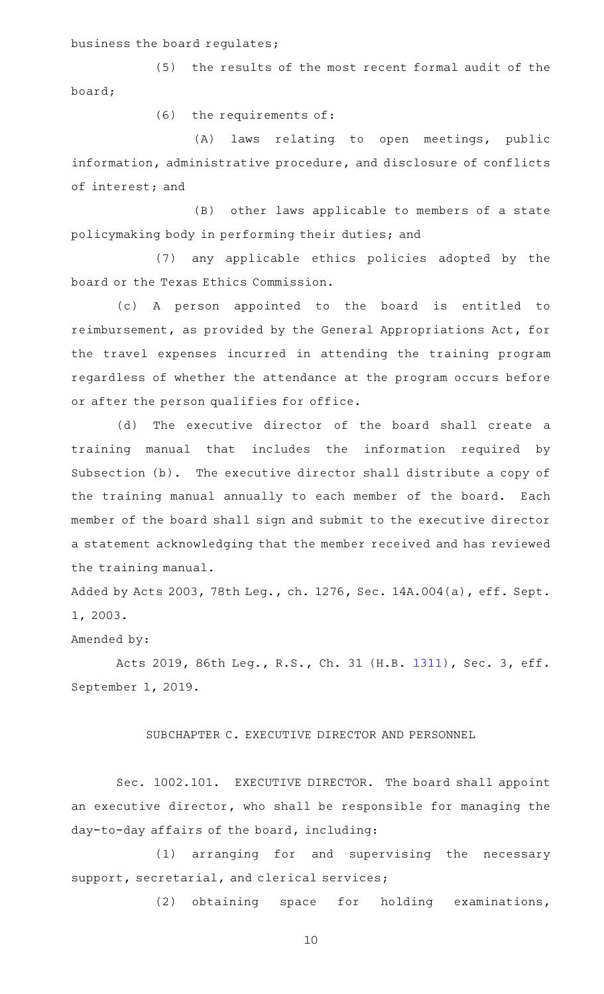# business the board regulates;

(5) the results of the most recent formal audit of the board;

 $(6)$  the requirements of:

(A) laws relating to open meetings, public information, administrative procedure, and disclosure of conflicts of interest; and

(B) other laws applicable to members of a state policymaking body in performing their duties; and

(7) any applicable ethics policies adopted by the board or the Texas Ethics Commission.

(c)AAA person appointed to the board is entitled to reimbursement, as provided by the General Appropriations Act, for the travel expenses incurred in attending the training program regardless of whether the attendance at the program occurs before or after the person qualifies for office.

(d) The executive director of the board shall create a training manual that includes the information required by Subsection (b). The executive director shall distribute a copy of the training manual annually to each member of the board. Each member of the board shall sign and submit to the executive director a statement acknowledging that the member received and has reviewed the training manual.

Added by Acts 2003, 78th Leg., ch. 1276, Sec. 14A.004(a), eff. Sept. 1, 2003.

# Amended by:

Acts 2019, 86th Leg., R.S., Ch. 31 (H.B. [1311](http://www.legis.state.tx.us/tlodocs/86R/billtext/html/HB01311F.HTM)), Sec. 3, eff. September 1, 2019.

#### SUBCHAPTER C. EXECUTIVE DIRECTOR AND PERSONNEL

Sec. 1002.101. EXECUTIVE DIRECTOR. The board shall appoint an executive director, who shall be responsible for managing the day-to-day affairs of the board, including:

(1) arranging for and supervising the necessary support, secretarial, and clerical services;

(2) obtaining space for holding examinations,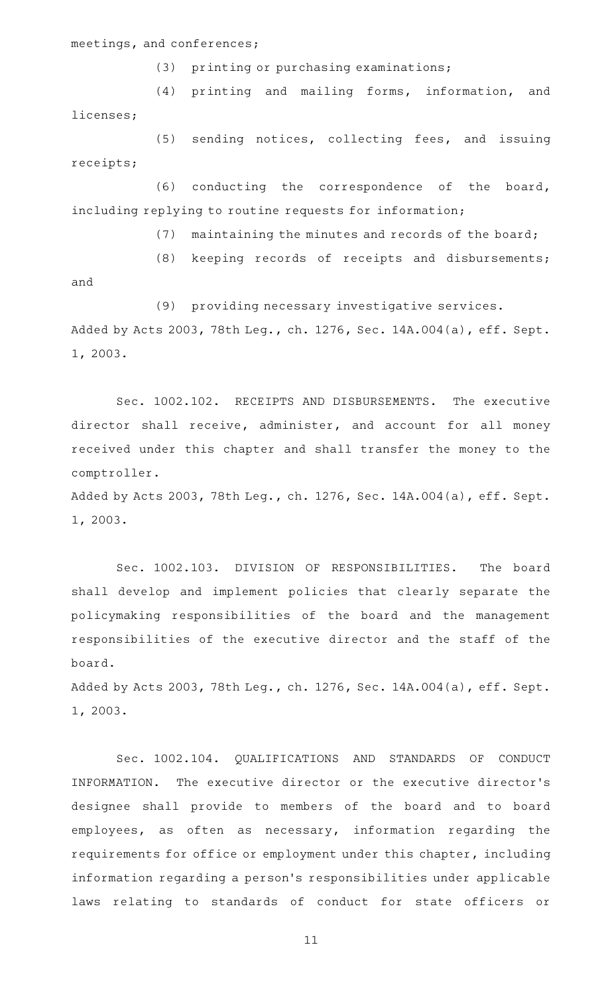meetings, and conferences;

 $(3)$  printing or purchasing examinations;

(4) printing and mailing forms, information, and licenses;

(5) sending notices, collecting fees, and issuing receipts;

(6) conducting the correspondence of the board, including replying to routine requests for information;

 $(7)$  maintaining the minutes and records of the board;

(8) keeping records of receipts and disbursements;

and

(9) providing necessary investigative services.

Added by Acts 2003, 78th Leg., ch. 1276, Sec. 14A.004(a), eff. Sept. 1, 2003.

Sec. 1002.102. RECEIPTS AND DISBURSEMENTS. The executive director shall receive, administer, and account for all money received under this chapter and shall transfer the money to the comptroller.

Added by Acts 2003, 78th Leg., ch. 1276, Sec. 14A.004(a), eff. Sept. 1, 2003.

Sec. 1002.103. DIVISION OF RESPONSIBILITIES. The board shall develop and implement policies that clearly separate the policymaking responsibilities of the board and the management responsibilities of the executive director and the staff of the board.

Added by Acts 2003, 78th Leg., ch. 1276, Sec. 14A.004(a), eff. Sept. 1, 2003.

Sec. 1002.104. QUALIFICATIONS AND STANDARDS OF CONDUCT INFORMATION. The executive director or the executive director 's designee shall provide to members of the board and to board employees, as often as necessary, information regarding the requirements for office or employment under this chapter, including information regarding a person 's responsibilities under applicable laws relating to standards of conduct for state officers or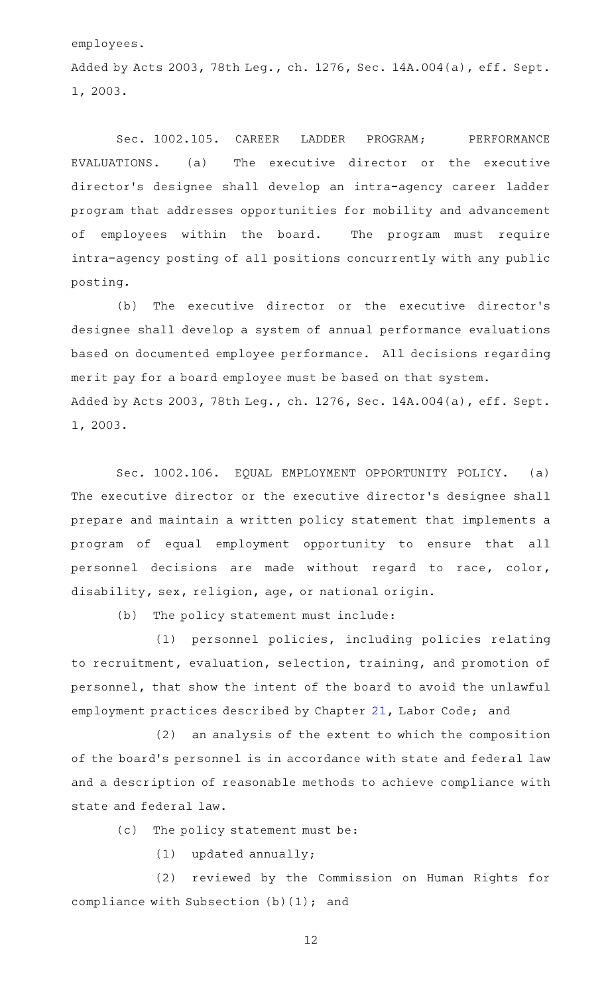employees.

Added by Acts 2003, 78th Leg., ch. 1276, Sec. 14A.004(a), eff. Sept. 1, 2003.

Sec. 1002.105. CAREER LADDER PROGRAM; PERFORMANCE EVALUATIONS. (a) The executive director or the executive director 's designee shall develop an intra-agency career ladder program that addresses opportunities for mobility and advancement of employees within the board. The program must require intra-agency posting of all positions concurrently with any public posting.

(b) The executive director or the executive director's designee shall develop a system of annual performance evaluations based on documented employee performance. All decisions regarding merit pay for a board employee must be based on that system. Added by Acts 2003, 78th Leg., ch. 1276, Sec. 14A.004(a), eff. Sept. 1, 2003.

Sec. 1002.106. EQUAL EMPLOYMENT OPPORTUNITY POLICY. (a) The executive director or the executive director 's designee shall prepare and maintain a written policy statement that implements a program of equal employment opportunity to ensure that all personnel decisions are made without regard to race, color, disability, sex, religion, age, or national origin.

(b) The policy statement must include:

(1) personnel policies, including policies relating to recruitment, evaluation, selection, training, and promotion of personnel, that show the intent of the board to avoid the unlawful employment practices described by Chapter [21,](http://www.statutes.legis.state.tx.us/GetStatute.aspx?Code=LA&Value=21) Labor Code; and

(2) an analysis of the extent to which the composition of the board's personnel is in accordance with state and federal law and a description of reasonable methods to achieve compliance with state and federal law.

(c) The policy statement must be:

 $(1)$  updated annually;

(2) reviewed by the Commission on Human Rights for compliance with Subsection (b)(1); and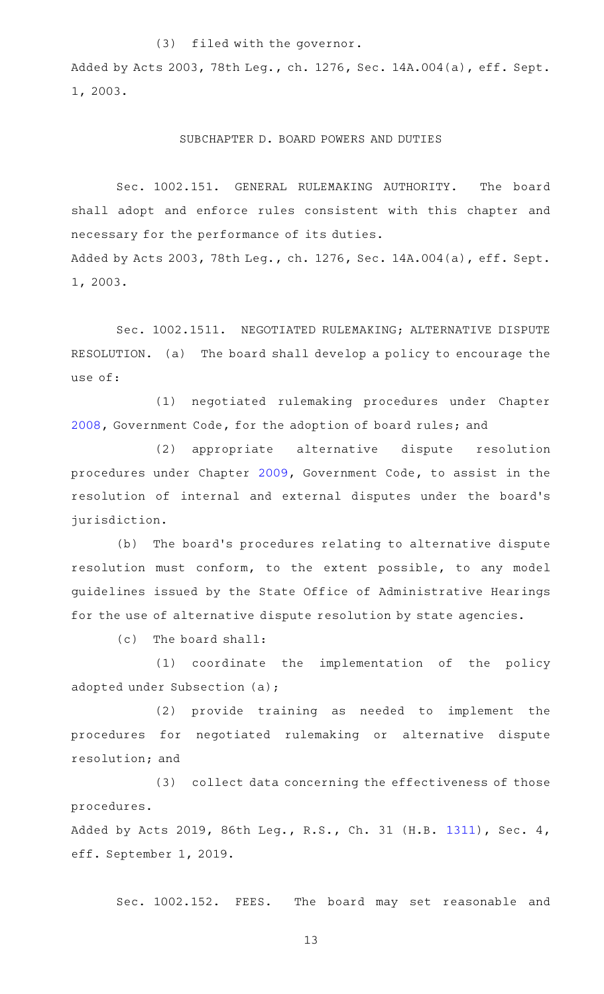# (3) filed with the governor.

Added by Acts 2003, 78th Leg., ch. 1276, Sec. 14A.004(a), eff. Sept. 1, 2003.

#### SUBCHAPTER D. BOARD POWERS AND DUTIES

Sec. 1002.151. GENERAL RULEMAKING AUTHORITY. The board shall adopt and enforce rules consistent with this chapter and necessary for the performance of its duties. Added by Acts 2003, 78th Leg., ch. 1276, Sec. 14A.004(a), eff. Sept. 1, 2003.

Sec. 1002.1511. NEGOTIATED RULEMAKING; ALTERNATIVE DISPUTE RESOLUTION. (a) The board shall develop a policy to encourage the use of:

(1) negotiated rulemaking procedures under Chapter [2008](http://www.statutes.legis.state.tx.us/GetStatute.aspx?Code=GV&Value=2008), Government Code, for the adoption of board rules; and

(2) appropriate alternative dispute resolution procedures under Chapter [2009,](http://www.statutes.legis.state.tx.us/GetStatute.aspx?Code=GV&Value=2009) Government Code, to assist in the resolution of internal and external disputes under the board's jurisdiction.

(b) The board's procedures relating to alternative dispute resolution must conform, to the extent possible, to any model guidelines issued by the State Office of Administrative Hearings for the use of alternative dispute resolution by state agencies.

 $(c)$  The board shall:

(1) coordinate the implementation of the policy adopted under Subsection (a);

(2) provide training as needed to implement the procedures for negotiated rulemaking or alternative dispute resolution; and

(3) collect data concerning the effectiveness of those procedures.

Added by Acts 2019, 86th Leg., R.S., Ch. 31 (H.B. [1311](http://www.legis.state.tx.us/tlodocs/86R/billtext/html/HB01311F.HTM)), Sec. 4, eff. September 1, 2019.

Sec. 1002.152. FEES. The board may set reasonable and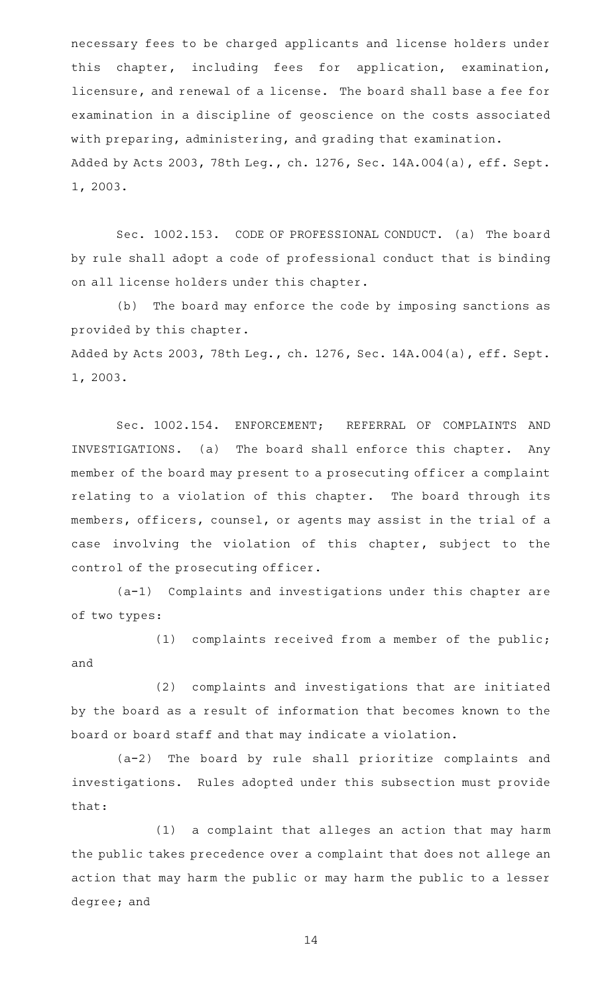necessary fees to be charged applicants and license holders under this chapter, including fees for application, examination, licensure, and renewal of a license. The board shall base a fee for examination in a discipline of geoscience on the costs associated with preparing, administering, and grading that examination. Added by Acts 2003, 78th Leg., ch. 1276, Sec. 14A.004(a), eff. Sept. 1, 2003.

Sec. 1002.153. CODE OF PROFESSIONAL CONDUCT. (a) The board by rule shall adopt a code of professional conduct that is binding on all license holders under this chapter.

(b) The board may enforce the code by imposing sanctions as provided by this chapter. Added by Acts 2003, 78th Leg., ch. 1276, Sec. 14A.004(a), eff. Sept. 1, 2003.

Sec. 1002.154. ENFORCEMENT; REFERRAL OF COMPLAINTS AND INVESTIGATIONS. (a) The board shall enforce this chapter. Any member of the board may present to a prosecuting officer a complaint relating to a violation of this chapter. The board through its members, officers, counsel, or agents may assist in the trial of a case involving the violation of this chapter, subject to the control of the prosecuting officer.

 $(a-1)$  Complaints and investigations under this chapter are of two types:

(1) complaints received from a member of the public; and

(2) complaints and investigations that are initiated by the board as a result of information that becomes known to the board or board staff and that may indicate a violation.

(a-2) The board by rule shall prioritize complaints and investigations. Rules adopted under this subsection must provide that:

(1) a complaint that alleges an action that may harm the public takes precedence over a complaint that does not allege an action that may harm the public or may harm the public to a lesser degree; and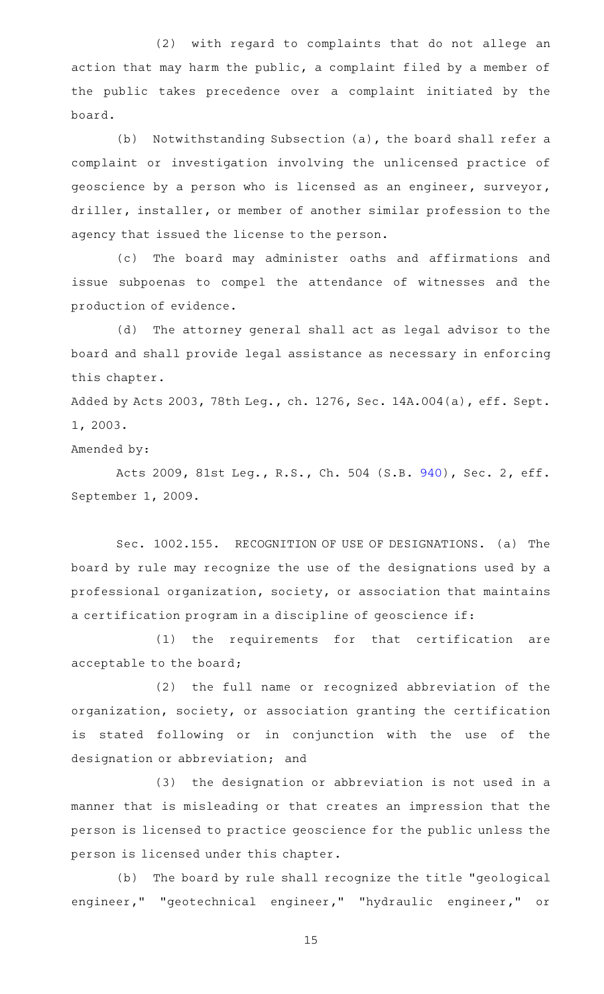(2) with regard to complaints that do not allege an action that may harm the public, a complaint filed by a member of the public takes precedence over a complaint initiated by the board.

(b) Notwithstanding Subsection (a), the board shall refer a complaint or investigation involving the unlicensed practice of geoscience by a person who is licensed as an engineer, surveyor, driller, installer, or member of another similar profession to the agency that issued the license to the person.

(c) The board may administer oaths and affirmations and issue subpoenas to compel the attendance of witnesses and the production of evidence.

(d) The attorney general shall act as legal advisor to the board and shall provide legal assistance as necessary in enforcing this chapter.

Added by Acts 2003, 78th Leg., ch. 1276, Sec. 14A.004(a), eff. Sept. 1, 2003.

Amended by:

Acts 2009, 81st Leg., R.S., Ch. 504 (S.B. [940](http://www.legis.state.tx.us/tlodocs/81R/billtext/html/SB00940F.HTM)), Sec. 2, eff. September 1, 2009.

Sec. 1002.155. RECOGNITION OF USE OF DESIGNATIONS. (a) The board by rule may recognize the use of the designations used by a professional organization, society, or association that maintains a certification program in a discipline of geoscience if:

(1) the requirements for that certification are acceptable to the board;

(2) the full name or recognized abbreviation of the organization, society, or association granting the certification is stated following or in conjunction with the use of the designation or abbreviation; and

(3) the designation or abbreviation is not used in a manner that is misleading or that creates an impression that the person is licensed to practice geoscience for the public unless the person is licensed under this chapter.

(b) The board by rule shall recognize the title "geological engineer," "geotechnical engineer," "hydraulic engineer," or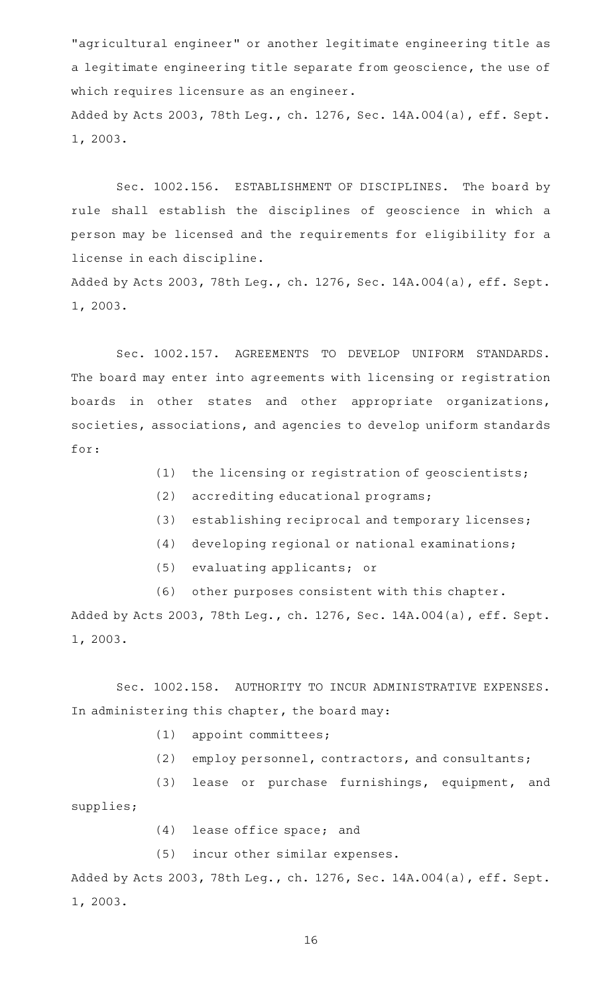"agricultural engineer" or another legitimate engineering title as a legitimate engineering title separate from geoscience, the use of which requires licensure as an engineer. Added by Acts 2003, 78th Leg., ch. 1276, Sec. 14A.004(a), eff. Sept. 1, 2003.

Sec. 1002.156. ESTABLISHMENT OF DISCIPLINES. The board by rule shall establish the disciplines of geoscience in which a person may be licensed and the requirements for eligibility for a license in each discipline.

Added by Acts 2003, 78th Leg., ch. 1276, Sec. 14A.004(a), eff. Sept. 1, 2003.

Sec. 1002.157. AGREEMENTS TO DEVELOP UNIFORM STANDARDS. The board may enter into agreements with licensing or registration boards in other states and other appropriate organizations, societies, associations, and agencies to develop uniform standards for:

- (1) the licensing or registration of geoscientists;
- (2) accrediting educational programs;
- (3) establishing reciprocal and temporary licenses;
- (4) developing regional or national examinations;
- (5) evaluating applicants; or

(6) other purposes consistent with this chapter.

Added by Acts 2003, 78th Leg., ch. 1276, Sec. 14A.004(a), eff. Sept. 1, 2003.

Sec. 1002.158. AUTHORITY TO INCUR ADMINISTRATIVE EXPENSES. In administering this chapter, the board may:

- (1) appoint committees;
- (2) employ personnel, contractors, and consultants;

(3) lease or purchase furnishings, equipment, and supplies;

- $(4)$  lease office space; and
- (5) incur other similar expenses.

Added by Acts 2003, 78th Leg., ch. 1276, Sec. 14A.004(a), eff. Sept. 1, 2003.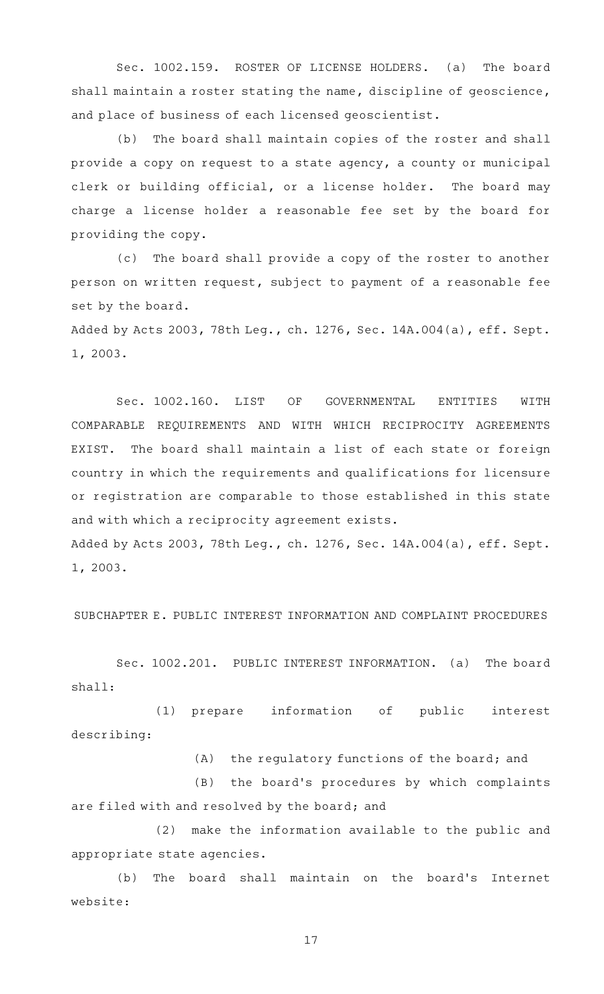Sec. 1002.159. ROSTER OF LICENSE HOLDERS. (a) The board shall maintain a roster stating the name, discipline of geoscience, and place of business of each licensed geoscientist.

(b) The board shall maintain copies of the roster and shall provide a copy on request to a state agency, a county or municipal clerk or building official, or a license holder. The board may charge a license holder a reasonable fee set by the board for providing the copy.

(c) The board shall provide a copy of the roster to another person on written request, subject to payment of a reasonable fee set by the board.

Added by Acts 2003, 78th Leg., ch. 1276, Sec. 14A.004(a), eff. Sept. 1, 2003.

Sec. 1002.160. LIST OF GOVERNMENTAL ENTITIES WITH COMPARABLE REQUIREMENTS AND WITH WHICH RECIPROCITY AGREEMENTS EXIST. The board shall maintain a list of each state or foreign country in which the requirements and qualifications for licensure or registration are comparable to those established in this state and with which a reciprocity agreement exists.

Added by Acts 2003, 78th Leg., ch. 1276, Sec. 14A.004(a), eff. Sept. 1, 2003.

SUBCHAPTER E. PUBLIC INTEREST INFORMATION AND COMPLAINT PROCEDURES

Sec. 1002.201. PUBLIC INTEREST INFORMATION. (a) The board shall:

(1) prepare information of public interest describing:

 $(A)$  the regulatory functions of the board; and

(B) the board's procedures by which complaints are filed with and resolved by the board; and

(2) make the information available to the public and appropriate state agencies.

(b) The board shall maintain on the board's Internet website: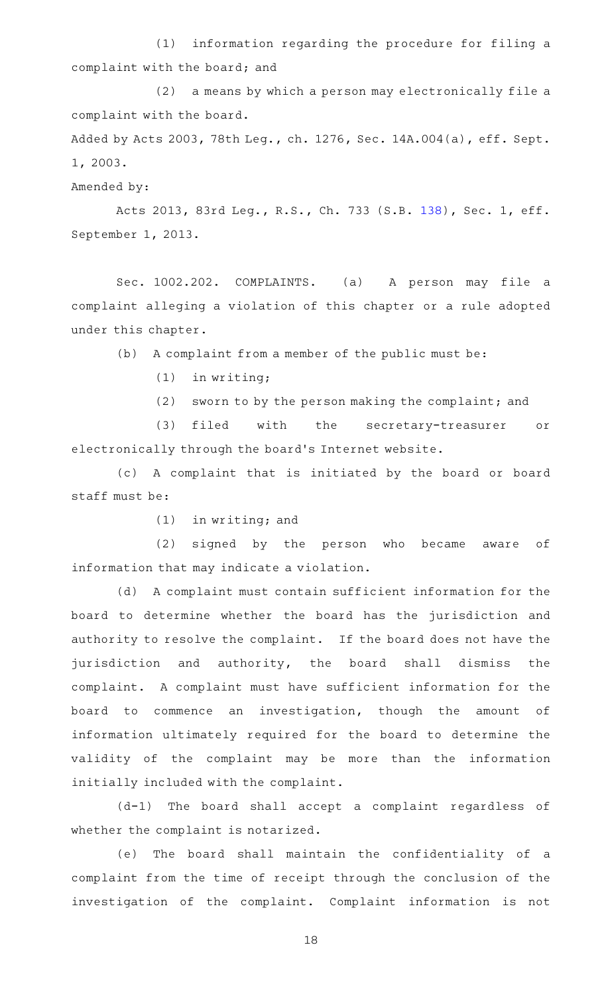(1) information regarding the procedure for filing a complaint with the board; and

(2) a means by which a person may electronically file a complaint with the board.

Added by Acts 2003, 78th Leg., ch. 1276, Sec. 14A.004(a), eff. Sept. 1, 2003.

Amended by:

Acts 2013, 83rd Leg., R.S., Ch. 733 (S.B. [138](http://www.legis.state.tx.us/tlodocs/83R/billtext/html/SB00138F.HTM)), Sec. 1, eff. September 1, 2013.

Sec. 1002.202. COMPLAINTS. (a) A person may file a complaint alleging a violation of this chapter or a rule adopted under this chapter.

 $(b)$  A complaint from a member of the public must be:

 $(1)$  in writing;

(2) sworn to by the person making the complaint; and

(3) filed with the secretary-treasurer or electronically through the board's Internet website.

(c) A complaint that is initiated by the board or board staff must be:

 $(1)$  in writing; and

(2) signed by the person who became aware of information that may indicate a violation.

(d) A complaint must contain sufficient information for the board to determine whether the board has the jurisdiction and authority to resolve the complaint. If the board does not have the jurisdiction and authority, the board shall dismiss the complaint. A complaint must have sufficient information for the board to commence an investigation, though the amount of information ultimately required for the board to determine the validity of the complaint may be more than the information initially included with the complaint.

(d-1) The board shall accept a complaint regardless of whether the complaint is notarized.

(e) The board shall maintain the confidentiality of a complaint from the time of receipt through the conclusion of the investigation of the complaint. Complaint information is not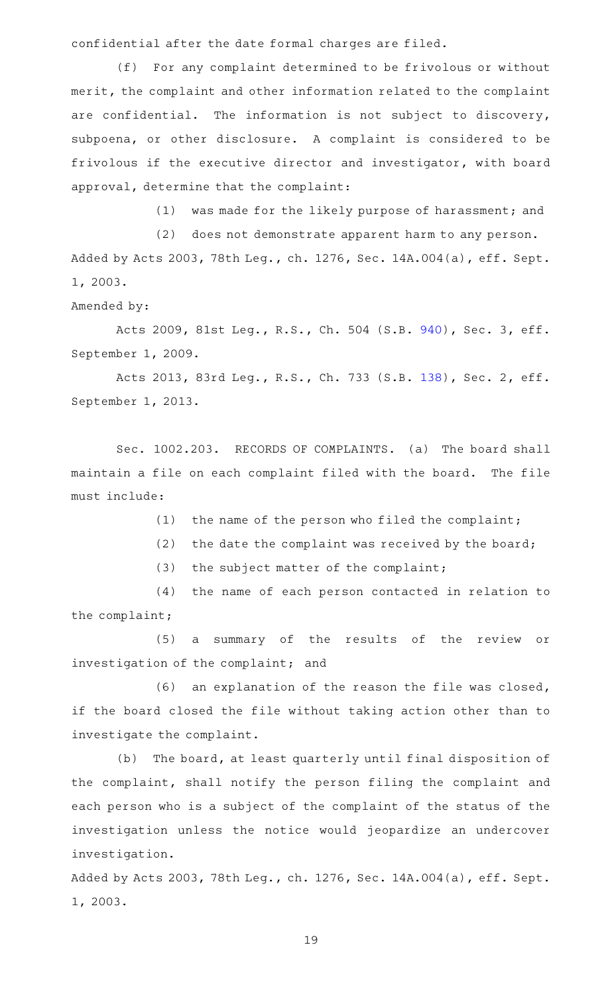confidential after the date formal charges are filed.

(f) For any complaint determined to be frivolous or without merit, the complaint and other information related to the complaint are confidential. The information is not subject to discovery, subpoena, or other disclosure. A complaint is considered to be frivolous if the executive director and investigator, with board approval, determine that the complaint:

(1) was made for the likely purpose of harassment; and

(2) does not demonstrate apparent harm to any person. Added by Acts 2003, 78th Leg., ch. 1276, Sec. 14A.004(a), eff. Sept. 1, 2003.

Amended by:

Acts 2009, 81st Leg., R.S., Ch. 504 (S.B. [940](http://www.legis.state.tx.us/tlodocs/81R/billtext/html/SB00940F.HTM)), Sec. 3, eff. September 1, 2009.

Acts 2013, 83rd Leg., R.S., Ch. 733 (S.B. [138](http://www.legis.state.tx.us/tlodocs/83R/billtext/html/SB00138F.HTM)), Sec. 2, eff. September 1, 2013.

Sec. 1002.203. RECORDS OF COMPLAINTS. (a) The board shall maintain a file on each complaint filed with the board. The file must include:

(1) the name of the person who filed the complaint;

(2) the date the complaint was received by the board;

(3) the subject matter of the complaint;

(4) the name of each person contacted in relation to the complaint;

(5) a summary of the results of the review or investigation of the complaint; and

 $(6)$  an explanation of the reason the file was closed, if the board closed the file without taking action other than to investigate the complaint.

(b) The board, at least quarterly until final disposition of the complaint, shall notify the person filing the complaint and each person who is a subject of the complaint of the status of the investigation unless the notice would jeopardize an undercover investigation.

Added by Acts 2003, 78th Leg., ch. 1276, Sec. 14A.004(a), eff. Sept. 1, 2003.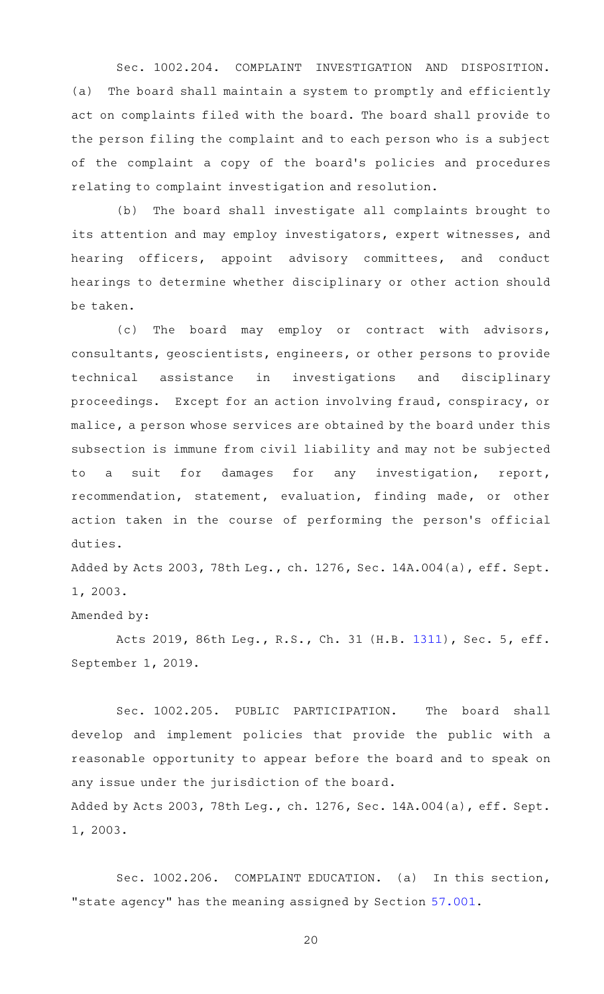Sec. 1002.204. COMPLAINT INVESTIGATION AND DISPOSITION. (a) The board shall maintain a system to promptly and efficiently act on complaints filed with the board. The board shall provide to the person filing the complaint and to each person who is a subject of the complaint a copy of the board's policies and procedures relating to complaint investigation and resolution.

(b) The board shall investigate all complaints brought to its attention and may employ investigators, expert witnesses, and hearing officers, appoint advisory committees, and conduct hearings to determine whether disciplinary or other action should be taken.

(c) The board may employ or contract with advisors, consultants, geoscientists, engineers, or other persons to provide technical assistance in investigations and disciplinary proceedings. Except for an action involving fraud, conspiracy, or malice, a person whose services are obtained by the board under this subsection is immune from civil liability and may not be subjected to a suit for damages for any investigation, report, recommendation, statement, evaluation, finding made, or other action taken in the course of performing the person's official duties.

Added by Acts 2003, 78th Leg., ch. 1276, Sec. 14A.004(a), eff. Sept. 1, 2003.

# Amended by:

Acts 2019, 86th Leg., R.S., Ch. 31 (H.B. [1311](http://www.legis.state.tx.us/tlodocs/86R/billtext/html/HB01311F.HTM)), Sec. 5, eff. September 1, 2019.

Sec. 1002.205. PUBLIC PARTICIPATION. The board shall develop and implement policies that provide the public with a reasonable opportunity to appear before the board and to speak on any issue under the jurisdiction of the board. Added by Acts 2003, 78th Leg., ch. 1276, Sec. 14A.004(a), eff. Sept.

1, 2003.

Sec. 1002.206. COMPLAINT EDUCATION. (a) In this section, "state agency" has the meaning assigned by Section [57.001](http://www.statutes.legis.state.tx.us/GetStatute.aspx?Code=OC&Value=57.001).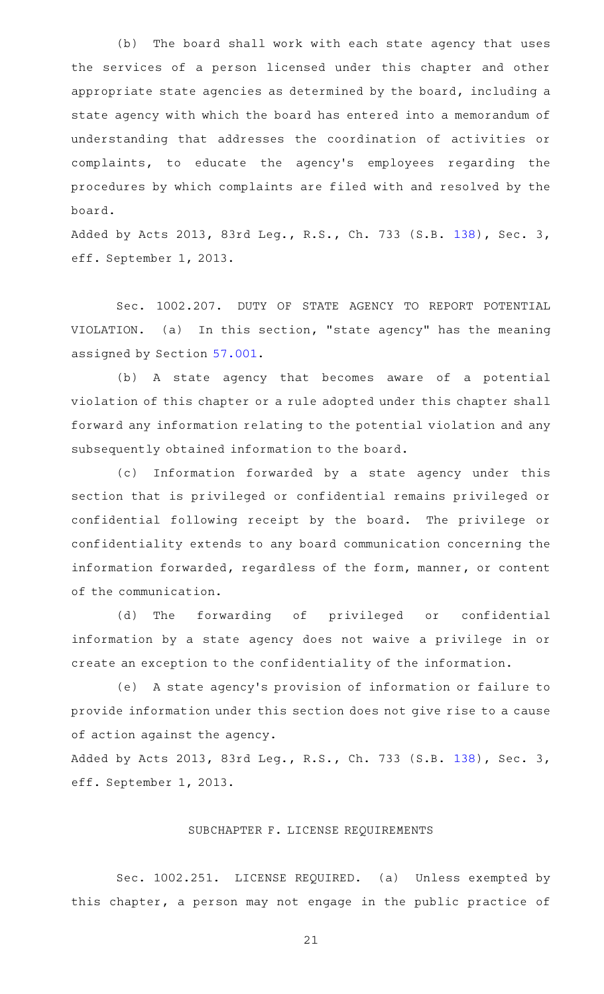(b) The board shall work with each state agency that uses the services of a person licensed under this chapter and other appropriate state agencies as determined by the board, including a state agency with which the board has entered into a memorandum of understanding that addresses the coordination of activities or complaints, to educate the agency 's employees regarding the procedures by which complaints are filed with and resolved by the board.

Added by Acts 2013, 83rd Leg., R.S., Ch. 733 (S.B. [138](http://www.legis.state.tx.us/tlodocs/83R/billtext/html/SB00138F.HTM)), Sec. 3, eff. September 1, 2013.

Sec. 1002.207. DUTY OF STATE AGENCY TO REPORT POTENTIAL VIOLATION. (a) In this section, "state agency" has the meaning assigned by Section [57.001.](http://www.statutes.legis.state.tx.us/GetStatute.aspx?Code=OC&Value=57.001)

(b) A state agency that becomes aware of a potential violation of this chapter or a rule adopted under this chapter shall forward any information relating to the potential violation and any subsequently obtained information to the board.

(c) Information forwarded by a state agency under this section that is privileged or confidential remains privileged or confidential following receipt by the board. The privilege or confidentiality extends to any board communication concerning the information forwarded, regardless of the form, manner, or content of the communication.

(d) The forwarding of privileged or confidential information by a state agency does not waive a privilege in or create an exception to the confidentiality of the information.

(e) A state agency's provision of information or failure to provide information under this section does not give rise to a cause of action against the agency.

Added by Acts 2013, 83rd Leg., R.S., Ch. 733 (S.B. [138](http://www.legis.state.tx.us/tlodocs/83R/billtext/html/SB00138F.HTM)), Sec. 3, eff. September 1, 2013.

## SUBCHAPTER F. LICENSE REQUIREMENTS

Sec. 1002.251. LICENSE REQUIRED. (a) Unless exempted by this chapter, a person may not engage in the public practice of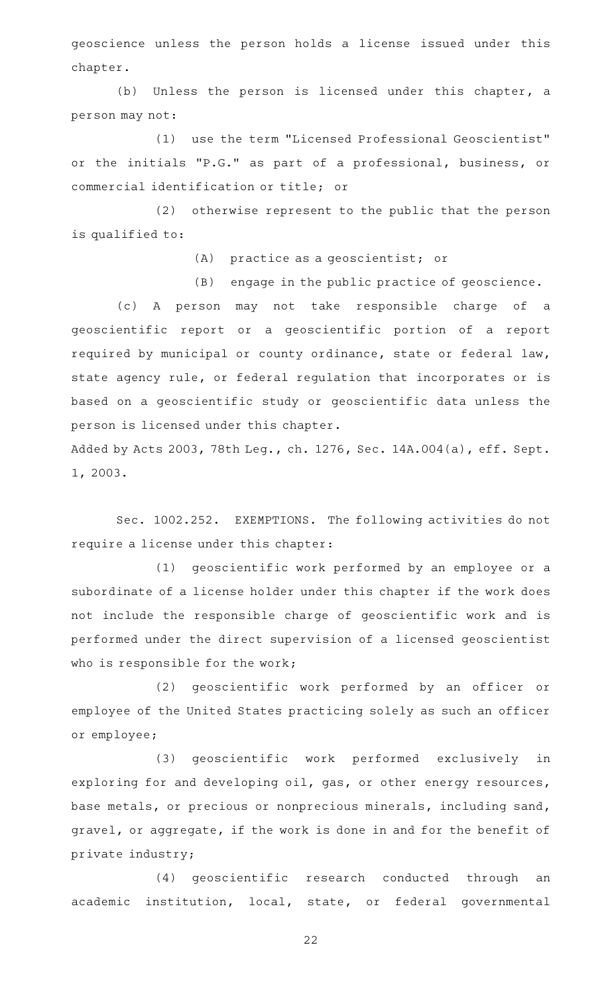geoscience unless the person holds a license issued under this chapter.

(b) Unless the person is licensed under this chapter, a person may not:

(1) use the term "Licensed Professional Geoscientist" or the initials "P.G." as part of a professional, business, or commercial identification or title; or

(2) otherwise represent to the public that the person is qualified to:

(A) practice as a geoscientist; or

 $(B)$  engage in the public practice of geoscience.

(c)AAA person may not take responsible charge of a geoscientific report or a geoscientific portion of a report required by municipal or county ordinance, state or federal law, state agency rule, or federal regulation that incorporates or is based on a geoscientific study or geoscientific data unless the person is licensed under this chapter.

Added by Acts 2003, 78th Leg., ch. 1276, Sec. 14A.004(a), eff. Sept. 1, 2003.

Sec. 1002.252. EXEMPTIONS. The following activities do not require a license under this chapter:

(1) geoscientific work performed by an employee or a subordinate of a license holder under this chapter if the work does not include the responsible charge of geoscientific work and is performed under the direct supervision of a licensed geoscientist who is responsible for the work;

(2) geoscientific work performed by an officer or employee of the United States practicing solely as such an officer or employee;

(3) geoscientific work performed exclusively in exploring for and developing oil, gas, or other energy resources, base metals, or precious or nonprecious minerals, including sand, gravel, or aggregate, if the work is done in and for the benefit of private industry;

(4) geoscientific research conducted through an academic institution, local, state, or federal governmental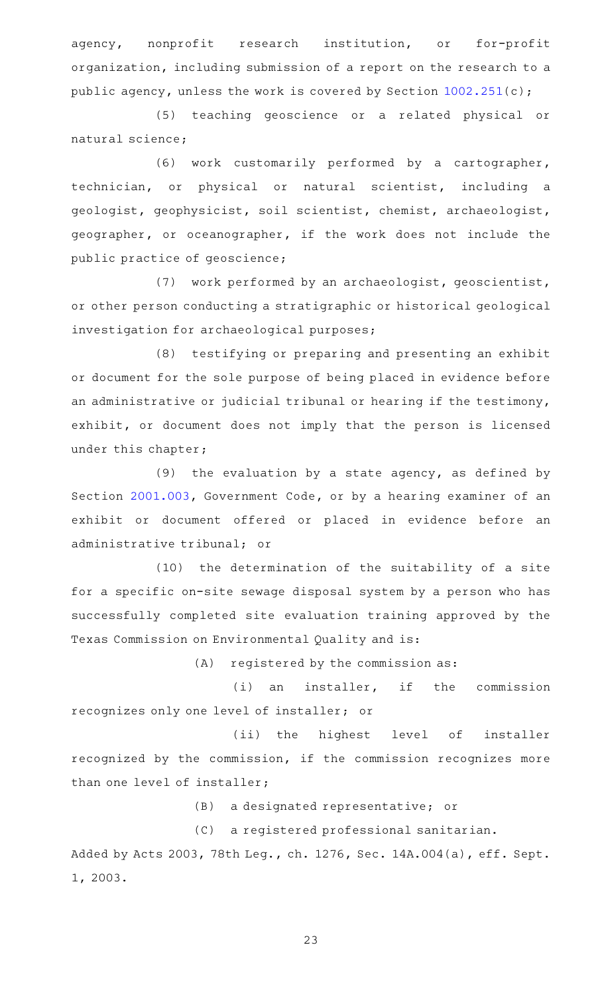agency, nonprofit research institution, or for-profit organization, including submission of a report on the research to a public agency, unless the work is covered by Section [1002.251\(](http://www.statutes.legis.state.tx.us/GetStatute.aspx?Code=OC&Value=1002.251)c);

(5) teaching geoscience or a related physical or natural science;

(6) work customarily performed by a cartographer, technician, or physical or natural scientist, including a geologist, geophysicist, soil scientist, chemist, archaeologist, geographer, or oceanographer, if the work does not include the public practice of geoscience;

(7) work performed by an archaeologist, geoscientist, or other person conducting a stratigraphic or historical geological investigation for archaeological purposes;

(8) testifying or preparing and presenting an exhibit or document for the sole purpose of being placed in evidence before an administrative or judicial tribunal or hearing if the testimony, exhibit, or document does not imply that the person is licensed under this chapter;

(9) the evaluation by a state agency, as defined by Section [2001.003](http://www.statutes.legis.state.tx.us/GetStatute.aspx?Code=GV&Value=2001.003), Government Code, or by a hearing examiner of an exhibit or document offered or placed in evidence before an administrative tribunal; or

(10) the determination of the suitability of a site for a specific on-site sewage disposal system by a person who has successfully completed site evaluation training approved by the Texas Commission on Environmental Quality and is:

 $(A)$  registered by the commission as:

 $(i)$  an installer, if the commission recognizes only one level of installer; or

(ii) the highest level of installer recognized by the commission, if the commission recognizes more than one level of installer;

(B) a designated representative; or

(C) a registered professional sanitarian.

Added by Acts 2003, 78th Leg., ch. 1276, Sec. 14A.004(a), eff. Sept. 1, 2003.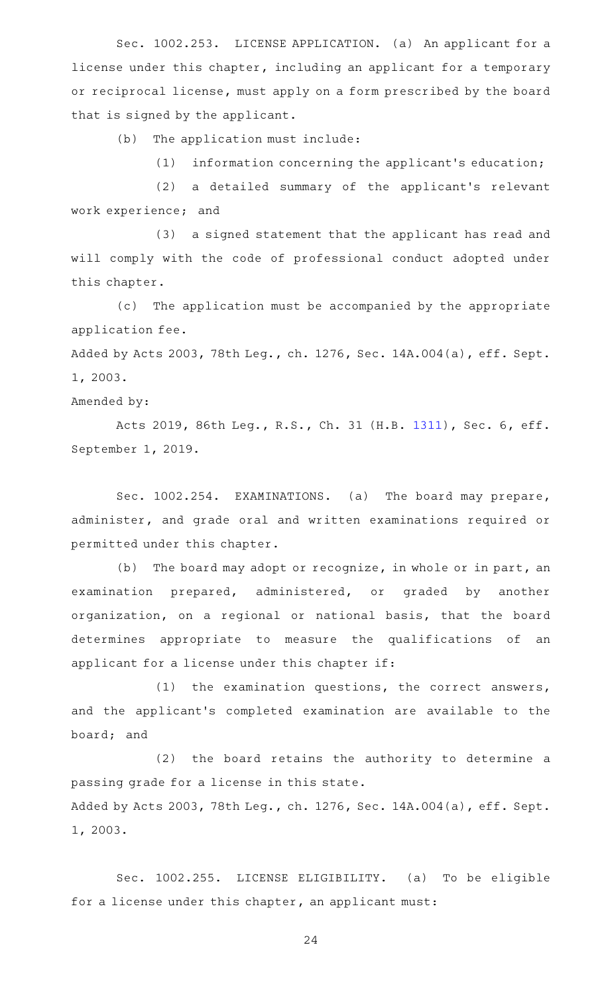Sec. 1002.253. LICENSE APPLICATION. (a) An applicant for a license under this chapter, including an applicant for a temporary or reciprocal license, must apply on a form prescribed by the board that is signed by the applicant.

(b) The application must include:

(1) information concerning the applicant's education;

(2) a detailed summary of the applicant's relevant work experience; and

(3) a signed statement that the applicant has read and will comply with the code of professional conduct adopted under this chapter.

(c) The application must be accompanied by the appropriate application fee.

Added by Acts 2003, 78th Leg., ch. 1276, Sec. 14A.004(a), eff. Sept. 1, 2003.

Amended by:

Acts 2019, 86th Leg., R.S., Ch. 31 (H.B. [1311](http://www.legis.state.tx.us/tlodocs/86R/billtext/html/HB01311F.HTM)), Sec. 6, eff. September 1, 2019.

Sec. 1002.254. EXAMINATIONS. (a) The board may prepare, administer, and grade oral and written examinations required or permitted under this chapter.

(b) The board may adopt or recognize, in whole or in part, an examination prepared, administered, or graded by another organization, on a regional or national basis, that the board determines appropriate to measure the qualifications of an applicant for a license under this chapter if:

(1) the examination questions, the correct answers, and the applicant 's completed examination are available to the board; and

 $(2)$  the board retains the authority to determine a passing grade for a license in this state. Added by Acts 2003, 78th Leg., ch. 1276, Sec. 14A.004(a), eff. Sept. 1, 2003.

Sec. 1002.255. LICENSE ELIGIBILITY. (a) To be eligible for a license under this chapter, an applicant must: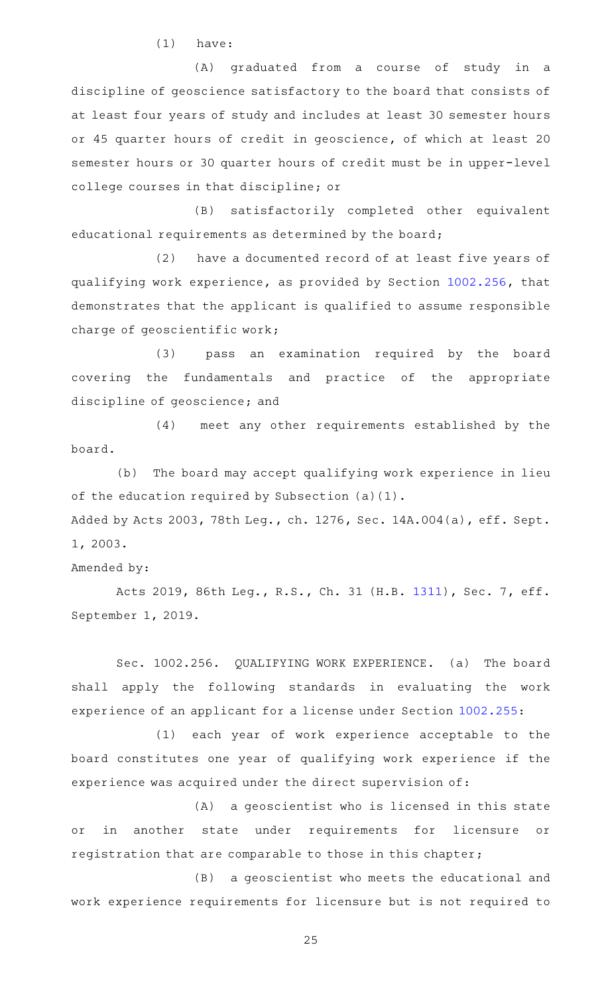$(1)$  have:

(A) graduated from a course of study in a discipline of geoscience satisfactory to the board that consists of at least four years of study and includes at least 30 semester hours or 45 quarter hours of credit in geoscience, of which at least 20 semester hours or 30 quarter hours of credit must be in upper-level college courses in that discipline; or

(B) satisfactorily completed other equivalent educational requirements as determined by the board;

(2) have a documented record of at least five years of qualifying work experience, as provided by Section [1002.256](http://www.statutes.legis.state.tx.us/GetStatute.aspx?Code=OC&Value=1002.256), that demonstrates that the applicant is qualified to assume responsible charge of geoscientific work;

(3) pass an examination required by the board covering the fundamentals and practice of the appropriate discipline of geoscience; and

(4) meet any other requirements established by the board.

(b) The board may accept qualifying work experience in lieu of the education required by Subsection (a)(1). Added by Acts 2003, 78th Leg., ch. 1276, Sec. 14A.004(a), eff. Sept. 1, 2003.

Amended by:

Acts 2019, 86th Leg., R.S., Ch. 31 (H.B. [1311](http://www.legis.state.tx.us/tlodocs/86R/billtext/html/HB01311F.HTM)), Sec. 7, eff. September 1, 2019.

Sec. 1002.256. QUALIFYING WORK EXPERIENCE. (a) The board shall apply the following standards in evaluating the work experience of an applicant for a license under Section [1002.255:](http://www.statutes.legis.state.tx.us/GetStatute.aspx?Code=OC&Value=1002.255)

(1) each year of work experience acceptable to the board constitutes one year of qualifying work experience if the experience was acquired under the direct supervision of:

(A) a geoscientist who is licensed in this state or in another state under requirements for licensure or registration that are comparable to those in this chapter;

(B) a geoscientist who meets the educational and work experience requirements for licensure but is not required to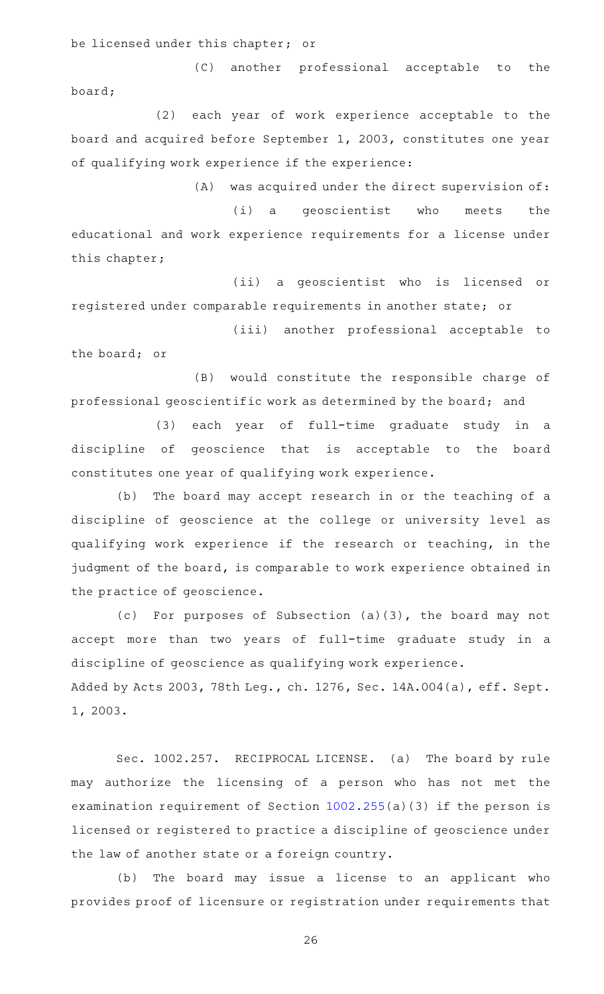be licensed under this chapter; or

(C) another professional acceptable to the board;

(2) each year of work experience acceptable to the board and acquired before September 1, 2003, constitutes one year of qualifying work experience if the experience:

 $(A)$  was acquired under the direct supervision of: (i) a geoscientist who meets the educational and work experience requirements for a license under this chapter;

(ii) a geoscientist who is licensed or registered under comparable requirements in another state; or

(iii) another professional acceptable to the board; or

(B) would constitute the responsible charge of professional geoscientific work as determined by the board; and

(3) each year of full-time graduate study in a discipline of geoscience that is acceptable to the board constitutes one year of qualifying work experience.

(b) The board may accept research in or the teaching of a discipline of geoscience at the college or university level as qualifying work experience if the research or teaching, in the judgment of the board, is comparable to work experience obtained in the practice of geoscience.

(c) For purposes of Subsection  $(a)(3)$ , the board may not accept more than two years of full-time graduate study in a discipline of geoscience as qualifying work experience. Added by Acts 2003, 78th Leg., ch. 1276, Sec. 14A.004(a), eff. Sept. 1, 2003.

Sec. 1002.257. RECIPROCAL LICENSE. (a) The board by rule may authorize the licensing of a person who has not met the examination requirement of Section [1002.255\(](http://www.statutes.legis.state.tx.us/GetStatute.aspx?Code=OC&Value=1002.255)a)(3) if the person is licensed or registered to practice a discipline of geoscience under the law of another state or a foreign country.

(b) The board may issue a license to an applicant who provides proof of licensure or registration under requirements that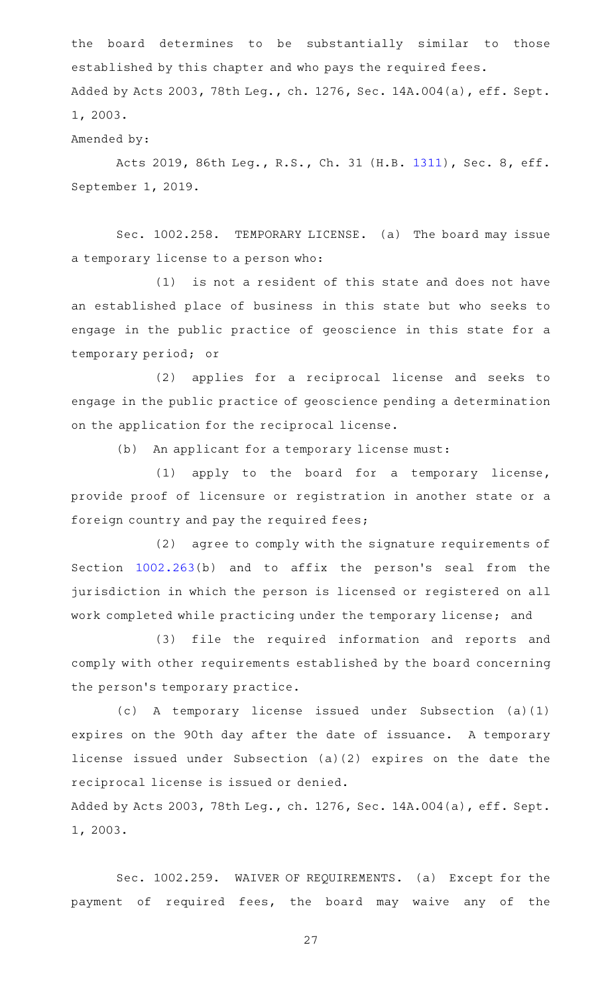the board determines to be substantially similar to those established by this chapter and who pays the required fees. Added by Acts 2003, 78th Leg., ch. 1276, Sec. 14A.004(a), eff. Sept. 1, 2003.

Amended by:

Acts 2019, 86th Leg., R.S., Ch. 31 (H.B. [1311](http://www.legis.state.tx.us/tlodocs/86R/billtext/html/HB01311F.HTM)), Sec. 8, eff. September 1, 2019.

Sec. 1002.258. TEMPORARY LICENSE. (a) The board may issue a temporary license to a person who:

 $(1)$  is not a resident of this state and does not have an established place of business in this state but who seeks to engage in the public practice of geoscience in this state for a temporary period; or

(2) applies for a reciprocal license and seeks to engage in the public practice of geoscience pending a determination on the application for the reciprocal license.

(b) An applicant for a temporary license must:

(1) apply to the board for a temporary license, provide proof of licensure or registration in another state or a foreign country and pay the required fees;

(2) agree to comply with the signature requirements of Section  $1002.263(b)$  $1002.263(b)$  and to affix the person's seal from the jurisdiction in which the person is licensed or registered on all work completed while practicing under the temporary license; and

(3) file the required information and reports and comply with other requirements established by the board concerning the person's temporary practice.

 $(c)$  A temporary license issued under Subsection  $(a)(1)$ expires on the 90th day after the date of issuance. A temporary license issued under Subsection (a)(2) expires on the date the reciprocal license is issued or denied.

Added by Acts 2003, 78th Leg., ch. 1276, Sec. 14A.004(a), eff. Sept. 1, 2003.

Sec. 1002.259. WAIVER OF REQUIREMENTS. (a) Except for the payment of required fees, the board may waive any of the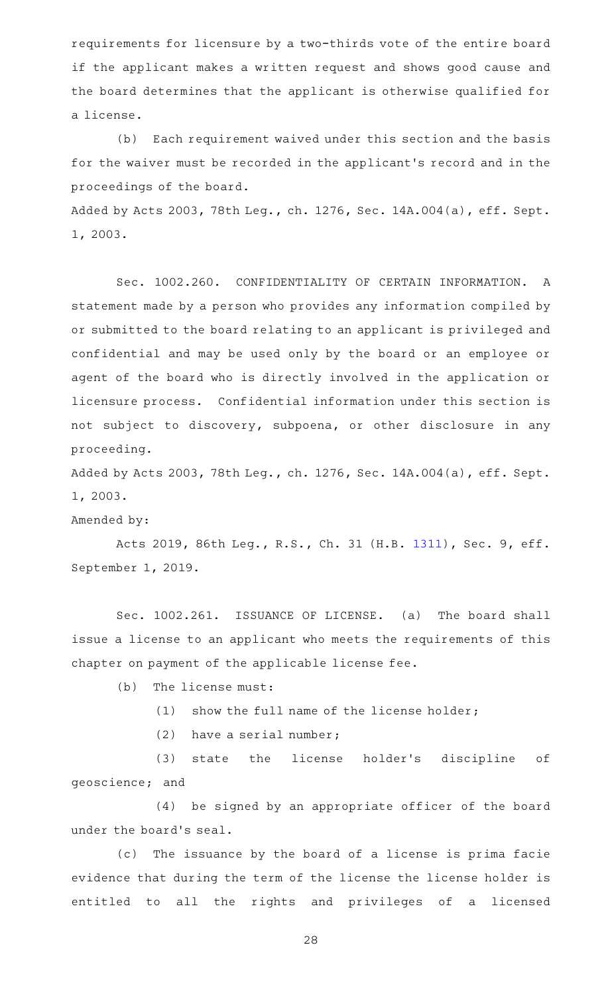requirements for licensure by a two-thirds vote of the entire board if the applicant makes a written request and shows good cause and the board determines that the applicant is otherwise qualified for a license.

(b) Each requirement waived under this section and the basis for the waiver must be recorded in the applicant 's record and in the proceedings of the board.

Added by Acts 2003, 78th Leg., ch. 1276, Sec. 14A.004(a), eff. Sept. 1, 2003.

Sec. 1002.260. CONFIDENTIALITY OF CERTAIN INFORMATION. A statement made by a person who provides any information compiled by or submitted to the board relating to an applicant is privileged and confidential and may be used only by the board or an employee or agent of the board who is directly involved in the application or licensure process. Confidential information under this section is not subject to discovery, subpoena, or other disclosure in any proceeding.

Added by Acts 2003, 78th Leg., ch. 1276, Sec. 14A.004(a), eff. Sept. 1, 2003.

Amended by:

Acts 2019, 86th Leg., R.S., Ch. 31 (H.B. [1311](http://www.legis.state.tx.us/tlodocs/86R/billtext/html/HB01311F.HTM)), Sec. 9, eff. September 1, 2019.

Sec. 1002.261. ISSUANCE OF LICENSE. (a) The board shall issue a license to an applicant who meets the requirements of this chapter on payment of the applicable license fee.

 $(b)$  The license must:

 $(1)$  show the full name of the license holder;

 $(2)$  have a serial number;

(3) state the license holder's discipline of geoscience; and

(4) be signed by an appropriate officer of the board under the board's seal.

(c) The issuance by the board of a license is prima facie evidence that during the term of the license the license holder is entitled to all the rights and privileges of a licensed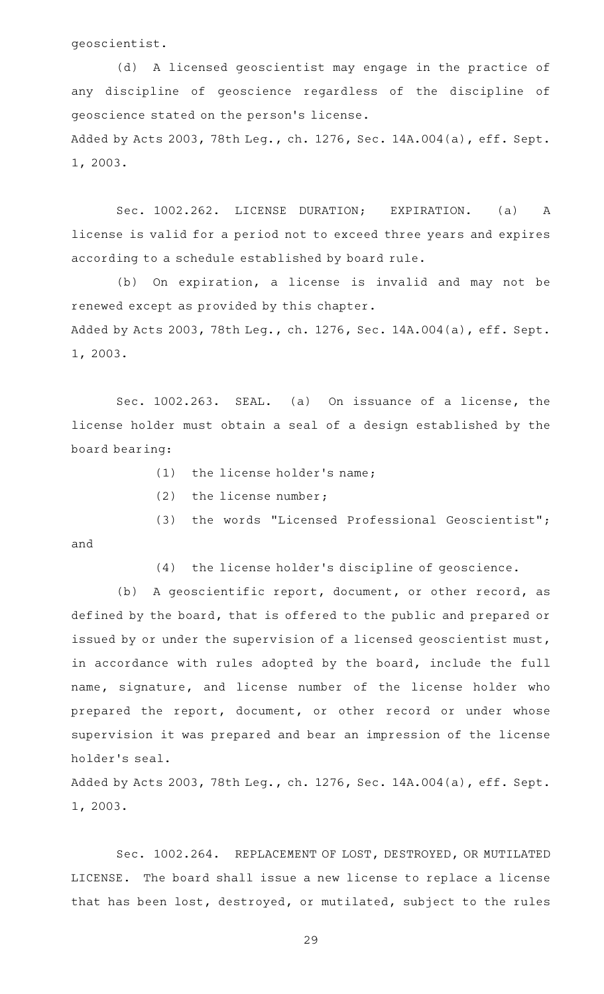geoscientist.

and

(d) A licensed geoscientist may engage in the practice of any discipline of geoscience regardless of the discipline of geoscience stated on the person 's license. Added by Acts 2003, 78th Leg., ch. 1276, Sec. 14A.004(a), eff. Sept. 1, 2003.

Sec. 1002.262. LICENSE DURATION; EXPIRATION. (a) A license is valid for a period not to exceed three years and expires according to a schedule established by board rule.

(b) On expiration, a license is invalid and may not be renewed except as provided by this chapter. Added by Acts 2003, 78th Leg., ch. 1276, Sec. 14A.004(a), eff. Sept. 1, 2003.

Sec. 1002.263. SEAL. (a) On issuance of a license, the license holder must obtain a seal of a design established by the board bearing:

- $(1)$  the license holder's name;
- $(2)$  the license number;
- (3) the words "Licensed Professional Geoscientist";
	- (4) the license holder's discipline of geoscience.

(b) A geoscientific report, document, or other record, as defined by the board, that is offered to the public and prepared or issued by or under the supervision of a licensed geoscientist must, in accordance with rules adopted by the board, include the full name, signature, and license number of the license holder who prepared the report, document, or other record or under whose supervision it was prepared and bear an impression of the license holder 's seal.

Added by Acts 2003, 78th Leg., ch. 1276, Sec. 14A.004(a), eff. Sept. 1, 2003.

Sec. 1002.264. REPLACEMENT OF LOST, DESTROYED, OR MUTILATED LICENSE. The board shall issue a new license to replace a license that has been lost, destroyed, or mutilated, subject to the rules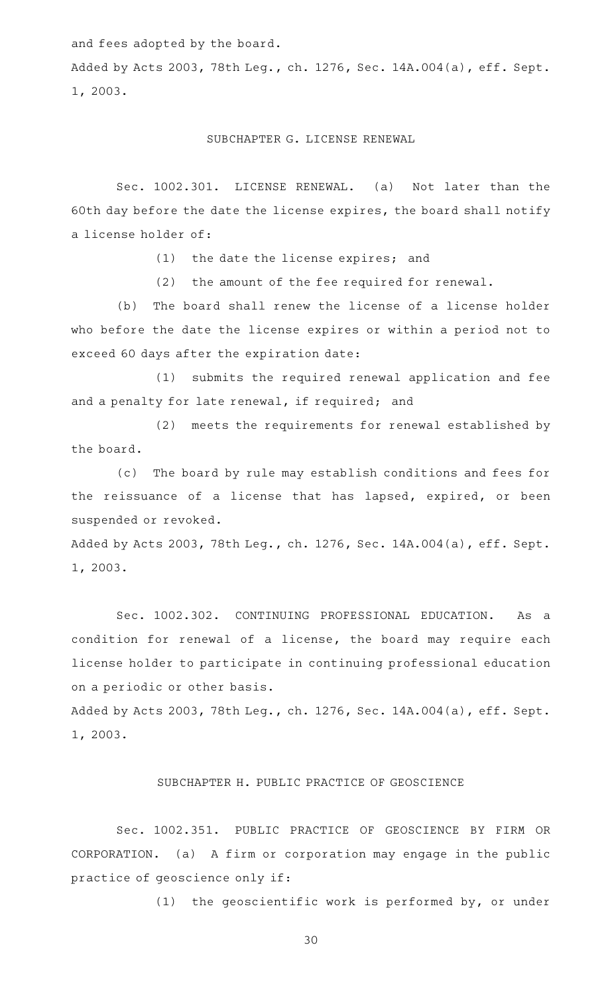and fees adopted by the board.

Added by Acts 2003, 78th Leg., ch. 1276, Sec. 14A.004(a), eff. Sept. 1, 2003.

#### SUBCHAPTER G. LICENSE RENEWAL

Sec. 1002.301. LICENSE RENEWAL. (a) Not later than the 60th day before the date the license expires, the board shall notify a license holder of:

 $(1)$  the date the license expires; and

 $(2)$  the amount of the fee required for renewal.

(b) The board shall renew the license of a license holder who before the date the license expires or within a period not to exceed 60 days after the expiration date:

(1) submits the required renewal application and fee and a penalty for late renewal, if required; and

(2) meets the requirements for renewal established by the board.

(c) The board by rule may establish conditions and fees for the reissuance of a license that has lapsed, expired, or been suspended or revoked.

Added by Acts 2003, 78th Leg., ch. 1276, Sec. 14A.004(a), eff. Sept. 1, 2003.

Sec. 1002.302. CONTINUING PROFESSIONAL EDUCATION. As a condition for renewal of a license, the board may require each license holder to participate in continuing professional education on a periodic or other basis.

Added by Acts 2003, 78th Leg., ch. 1276, Sec. 14A.004(a), eff. Sept. 1, 2003.

### SUBCHAPTER H. PUBLIC PRACTICE OF GEOSCIENCE

Sec. 1002.351. PUBLIC PRACTICE OF GEOSCIENCE BY FIRM OR CORPORATION. (a) A firm or corporation may engage in the public practice of geoscience only if:

(1) the geoscientific work is performed by, or under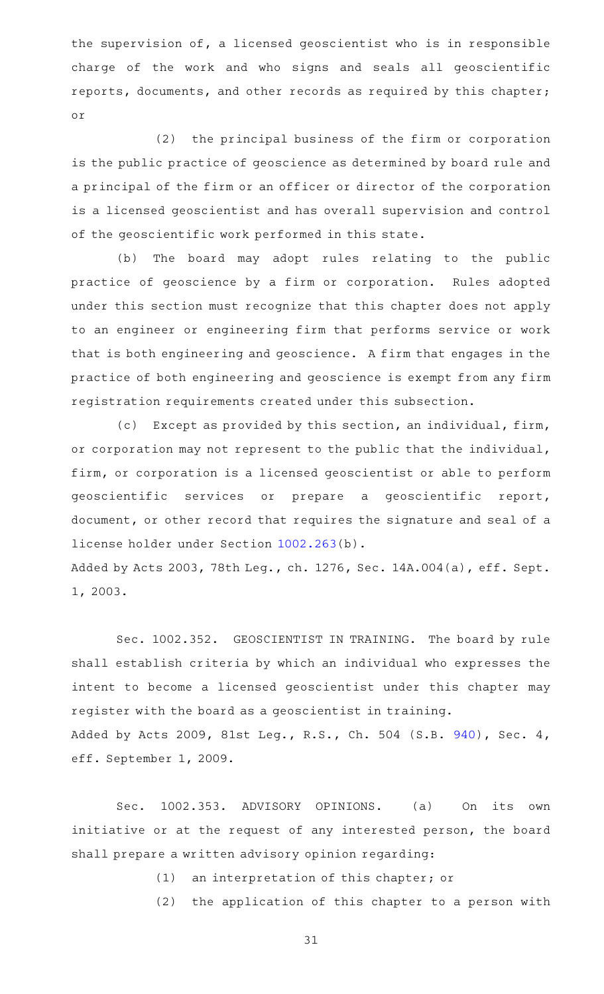the supervision of, a licensed geoscientist who is in responsible charge of the work and who signs and seals all geoscientific reports, documents, and other records as required by this chapter; or

 $(2)$  the principal business of the firm or corporation is the public practice of geoscience as determined by board rule and a principal of the firm or an officer or director of the corporation is a licensed geoscientist and has overall supervision and control of the geoscientific work performed in this state.

(b) The board may adopt rules relating to the public practice of geoscience by a firm or corporation. Rules adopted under this section must recognize that this chapter does not apply to an engineer or engineering firm that performs service or work that is both engineering and geoscience. A firm that engages in the practice of both engineering and geoscience is exempt from any firm registration requirements created under this subsection.

(c) Except as provided by this section, an individual, firm, or corporation may not represent to the public that the individual, firm, or corporation is a licensed geoscientist or able to perform geoscientific services or prepare a geoscientific report, document, or other record that requires the signature and seal of a license holder under Section [1002.263](http://www.statutes.legis.state.tx.us/GetStatute.aspx?Code=OC&Value=1002.263)(b).

Added by Acts 2003, 78th Leg., ch. 1276, Sec. 14A.004(a), eff. Sept. 1, 2003.

Sec. 1002.352. GEOSCIENTIST IN TRAINING. The board by rule shall establish criteria by which an individual who expresses the intent to become a licensed geoscientist under this chapter may register with the board as a geoscientist in training. Added by Acts 2009, 81st Leg., R.S., Ch. 504 (S.B. [940](http://www.legis.state.tx.us/tlodocs/81R/billtext/html/SB00940F.HTM)), Sec. 4,

eff. September 1, 2009.

Sec. 1002.353. ADVISORY OPINIONS. (a) On its own initiative or at the request of any interested person, the board shall prepare a written advisory opinion regarding:

(1) an interpretation of this chapter; or

(2) the application of this chapter to a person with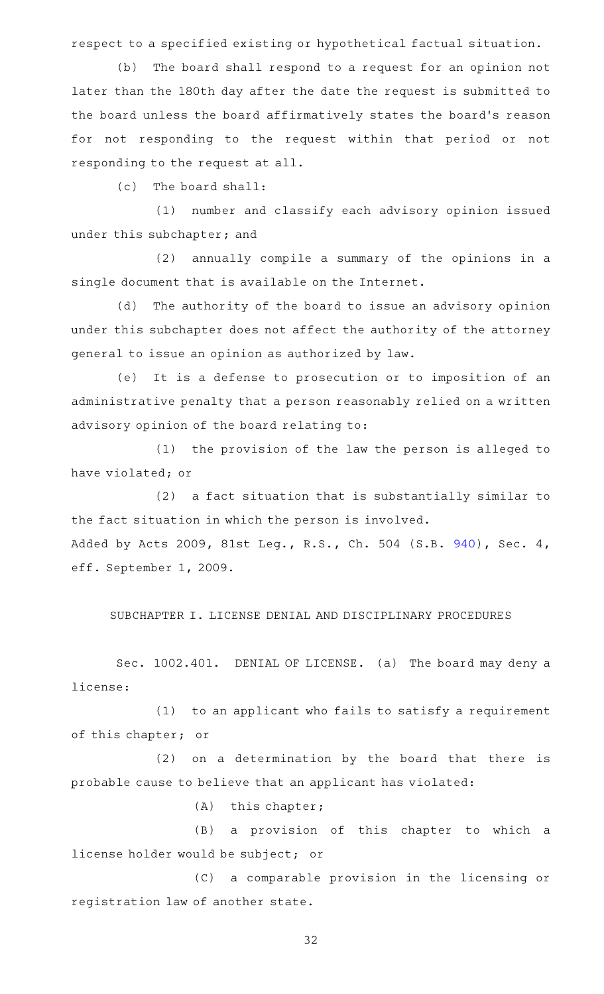respect to a specified existing or hypothetical factual situation.

(b) The board shall respond to a request for an opinion not later than the 180th day after the date the request is submitted to the board unless the board affirmatively states the board's reason for not responding to the request within that period or not responding to the request at all.

 $(c)$  The board shall:

(1) number and classify each advisory opinion issued under this subchapter; and

 $(2)$  annually compile a summary of the opinions in a single document that is available on the Internet.

(d) The authority of the board to issue an advisory opinion under this subchapter does not affect the authority of the attorney general to issue an opinion as authorized by law.

(e) It is a defense to prosecution or to imposition of an administrative penalty that a person reasonably relied on a written advisory opinion of the board relating to:

(1) the provision of the law the person is alleged to have violated; or

(2) a fact situation that is substantially similar to the fact situation in which the person is involved. Added by Acts 2009, 81st Leg., R.S., Ch. 504 (S.B. [940](http://www.legis.state.tx.us/tlodocs/81R/billtext/html/SB00940F.HTM)), Sec. 4, eff. September 1, 2009.

SUBCHAPTER I. LICENSE DENIAL AND DISCIPLINARY PROCEDURES

Sec. 1002.401. DENIAL OF LICENSE. (a) The board may deny a license:

 $(1)$  to an applicant who fails to satisfy a requirement of this chapter; or

(2) on a determination by the board that there is probable cause to believe that an applicant has violated:

 $(A)$  this chapter;

(B) a provision of this chapter to which a license holder would be subject; or

(C) a comparable provision in the licensing or registration law of another state.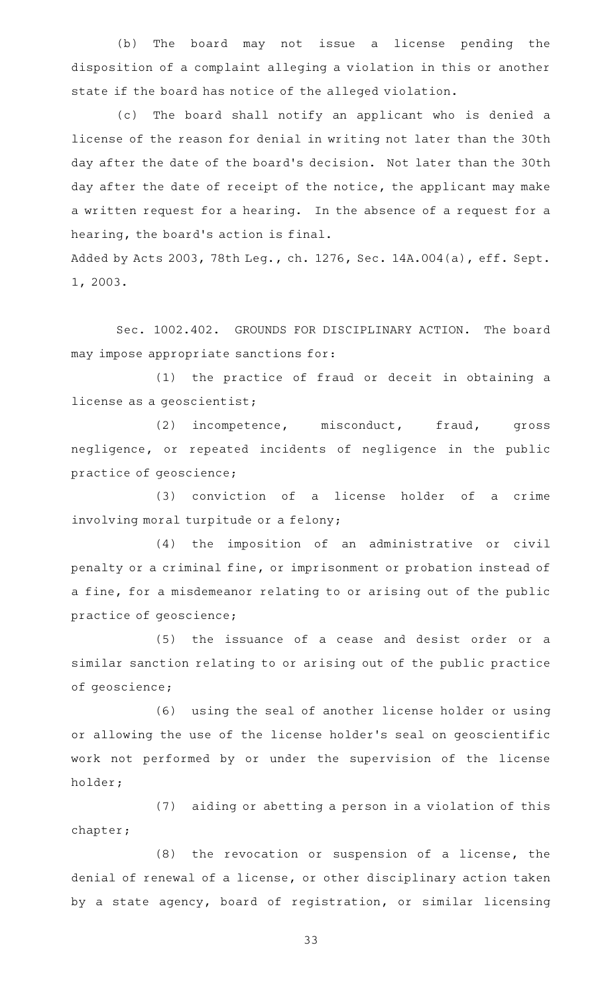(b) The board may not issue a license pending the disposition of a complaint alleging a violation in this or another state if the board has notice of the alleged violation.

(c) The board shall notify an applicant who is denied a license of the reason for denial in writing not later than the 30th day after the date of the board 's decision. Not later than the 30th day after the date of receipt of the notice, the applicant may make a written request for a hearing. In the absence of a request for a hearing, the board's action is final.

Added by Acts 2003, 78th Leg., ch. 1276, Sec. 14A.004(a), eff. Sept. 1, 2003.

Sec. 1002.402. GROUNDS FOR DISCIPLINARY ACTION. The board may impose appropriate sanctions for:

(1) the practice of fraud or deceit in obtaining a license as a geoscientist;

(2) incompetence, misconduct, fraud, gross negligence, or repeated incidents of negligence in the public practice of geoscience;

(3) conviction of a license holder of a crime involving moral turpitude or a felony;

(4) the imposition of an administrative or civil penalty or a criminal fine, or imprisonment or probation instead of a fine, for a misdemeanor relating to or arising out of the public practice of geoscience;

(5) the issuance of a cease and desist order or a similar sanction relating to or arising out of the public practice of geoscience;

(6) using the seal of another license holder or using or allowing the use of the license holder 's seal on geoscientific work not performed by or under the supervision of the license holder;

(7) aiding or abetting a person in a violation of this chapter;

 $(8)$  the revocation or suspension of a license, the denial of renewal of a license, or other disciplinary action taken by a state agency, board of registration, or similar licensing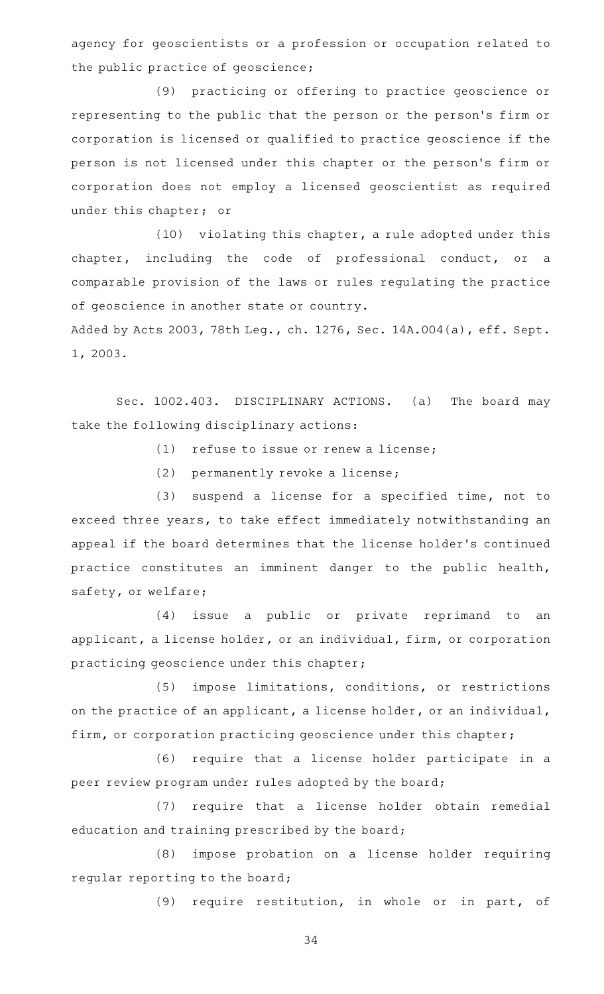agency for geoscientists or a profession or occupation related to the public practice of geoscience;

(9) practicing or offering to practice geoscience or representing to the public that the person or the person 's firm or corporation is licensed or qualified to practice geoscience if the person is not licensed under this chapter or the person 's firm or corporation does not employ a licensed geoscientist as required under this chapter; or

 $(10)$  violating this chapter, a rule adopted under this chapter, including the code of professional conduct, or a comparable provision of the laws or rules regulating the practice of geoscience in another state or country.

Added by Acts 2003, 78th Leg., ch. 1276, Sec. 14A.004(a), eff. Sept. 1, 2003.

Sec. 1002.403. DISCIPLINARY ACTIONS. (a) The board may take the following disciplinary actions:

 $(1)$  refuse to issue or renew a license;

(2) permanently revoke a license;

(3) suspend a license for a specified time, not to exceed three years, to take effect immediately notwithstanding an appeal if the board determines that the license holder 's continued practice constitutes an imminent danger to the public health, safety, or welfare;

(4) issue a public or private reprimand to an applicant, a license holder, or an individual, firm, or corporation practicing geoscience under this chapter;

(5) impose limitations, conditions, or restrictions on the practice of an applicant, a license holder, or an individual, firm, or corporation practicing geoscience under this chapter;

(6) require that a license holder participate in a peer review program under rules adopted by the board;

(7) require that a license holder obtain remedial education and training prescribed by the board;

(8) impose probation on a license holder requiring regular reporting to the board;

(9) require restitution, in whole or in part, of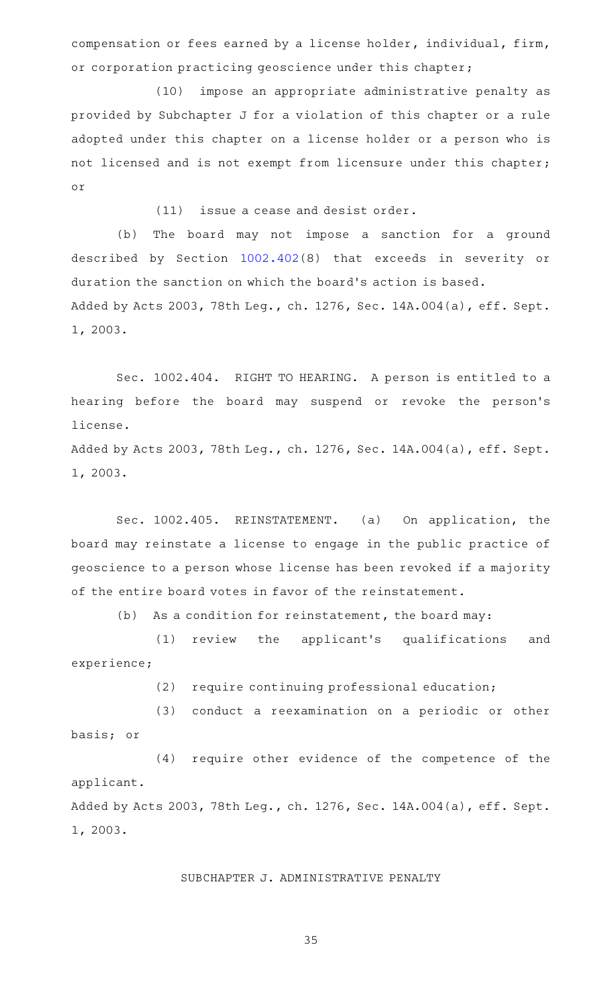compensation or fees earned by a license holder, individual, firm, or corporation practicing geoscience under this chapter;

(10) impose an appropriate administrative penalty as provided by Subchapter J for a violation of this chapter or a rule adopted under this chapter on a license holder or a person who is not licensed and is not exempt from licensure under this chapter; or

 $(11)$  issue a cease and desist order.

(b) The board may not impose a sanction for a ground described by Section [1002.402](http://www.statutes.legis.state.tx.us/GetStatute.aspx?Code=OC&Value=1002.402)(8) that exceeds in severity or duration the sanction on which the board's action is based. Added by Acts 2003, 78th Leg., ch. 1276, Sec. 14A.004(a), eff. Sept. 1, 2003.

Sec. 1002.404. RIGHT TO HEARING. A person is entitled to a hearing before the board may suspend or revoke the person's license.

Added by Acts 2003, 78th Leg., ch. 1276, Sec. 14A.004(a), eff. Sept. 1, 2003.

Sec. 1002.405. REINSTATEMENT. (a) On application, the board may reinstate a license to engage in the public practice of geoscience to a person whose license has been revoked if a majority of the entire board votes in favor of the reinstatement.

 $(b)$  As a condition for reinstatement, the board may:

(1) review the applicant's qualifications and experience;

(2) require continuing professional education;

(3) conduct a reexamination on a periodic or other basis; or

(4) require other evidence of the competence of the applicant. Added by Acts 2003, 78th Leg., ch. 1276, Sec. 14A.004(a), eff. Sept. 1, 2003.

SUBCHAPTER J. ADMINISTRATIVE PENALTY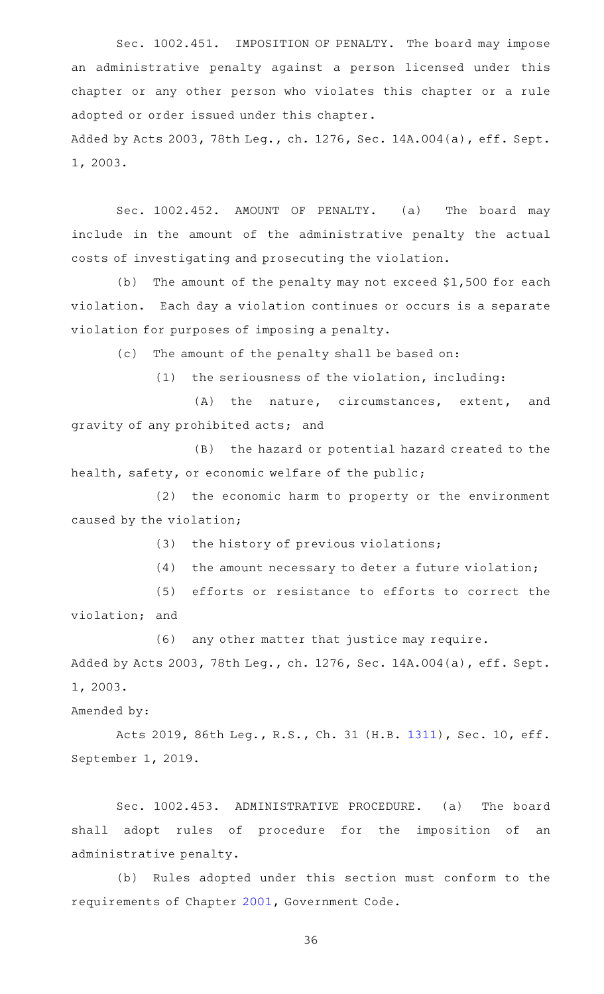Sec. 1002.451. IMPOSITION OF PENALTY. The board may impose an administrative penalty against a person licensed under this chapter or any other person who violates this chapter or a rule adopted or order issued under this chapter.

Added by Acts 2003, 78th Leg., ch. 1276, Sec. 14A.004(a), eff. Sept. 1, 2003.

Sec. 1002.452. AMOUNT OF PENALTY. (a) The board may include in the amount of the administrative penalty the actual costs of investigating and prosecuting the violation.

(b) The amount of the penalty may not exceed  $$1,500$  for each violation. Each day a violation continues or occurs is a separate violation for purposes of imposing a penalty.

(c) The amount of the penalty shall be based on:

 $(1)$  the seriousness of the violation, including:

 $(A)$  the nature, circumstances, extent, and gravity of any prohibited acts; and

(B) the hazard or potential hazard created to the health, safety, or economic welfare of the public;

(2) the economic harm to property or the environment caused by the violation;

 $(3)$  the history of previous violations;

 $(4)$  the amount necessary to deter a future violation;

(5) efforts or resistance to efforts to correct the violation; and

(6) any other matter that justice may require.

Added by Acts 2003, 78th Leg., ch. 1276, Sec. 14A.004(a), eff. Sept. 1, 2003.

Amended by:

Acts 2019, 86th Leg., R.S., Ch. 31 (H.B. [1311\)](http://www.legis.state.tx.us/tlodocs/86R/billtext/html/HB01311F.HTM), Sec. 10, eff. September 1, 2019.

Sec. 1002.453. ADMINISTRATIVE PROCEDURE. (a) The board shall adopt rules of procedure for the imposition of an administrative penalty.

(b) Rules adopted under this section must conform to the requirements of Chapter [2001,](http://www.statutes.legis.state.tx.us/GetStatute.aspx?Code=GV&Value=2001) Government Code.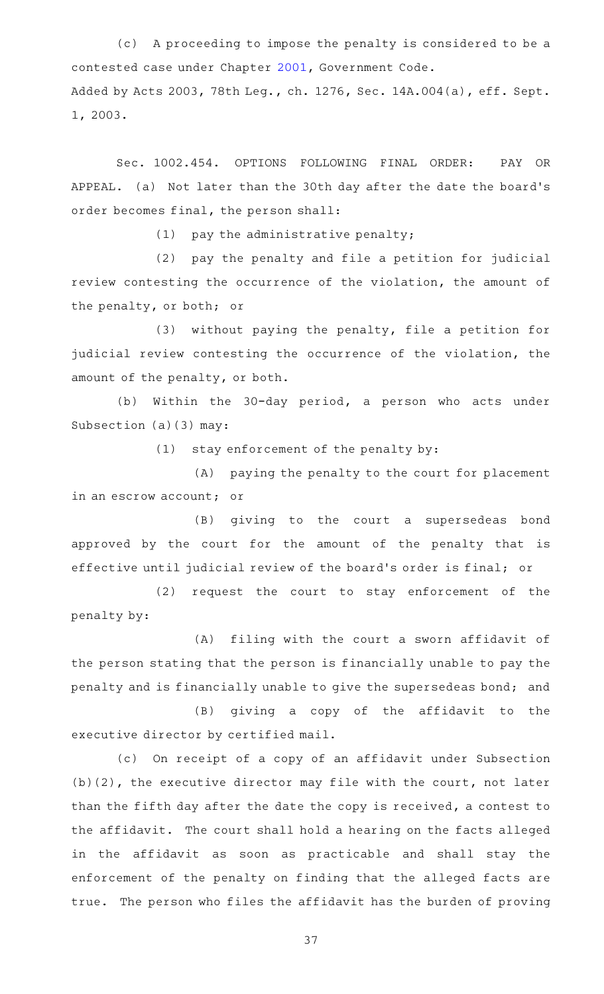(c) A proceeding to impose the penalty is considered to be a contested case under Chapter [2001](http://www.statutes.legis.state.tx.us/GetStatute.aspx?Code=GV&Value=2001), Government Code. Added by Acts 2003, 78th Leg., ch. 1276, Sec. 14A.004(a), eff. Sept. 1, 2003.

Sec. 1002.454. OPTIONS FOLLOWING FINAL ORDER: PAY OR APPEAL. (a) Not later than the 30th day after the date the board 's order becomes final, the person shall:

 $(1)$  pay the administrative penalty;

(2) pay the penalty and file a petition for judicial review contesting the occurrence of the violation, the amount of the penalty, or both; or

(3) without paying the penalty, file a petition for judicial review contesting the occurrence of the violation, the amount of the penalty, or both.

(b) Within the 30-day period, a person who acts under Subsection (a)(3) may:

 $(1)$  stay enforcement of the penalty by:

(A) paying the penalty to the court for placement in an escrow account; or

(B) giving to the court a supersedeas bond approved by the court for the amount of the penalty that is effective until judicial review of the board's order is final; or

(2) request the court to stay enforcement of the penalty by:

(A) filing with the court a sworn affidavit of the person stating that the person is financially unable to pay the penalty and is financially unable to give the supersedeas bond; and

(B) giving a copy of the affidavit to the executive director by certified mail.

(c) On receipt of a copy of an affidavit under Subsection (b)(2), the executive director may file with the court, not later than the fifth day after the date the copy is received, a contest to the affidavit. The court shall hold a hearing on the facts alleged in the affidavit as soon as practicable and shall stay the enforcement of the penalty on finding that the alleged facts are true. The person who files the affidavit has the burden of proving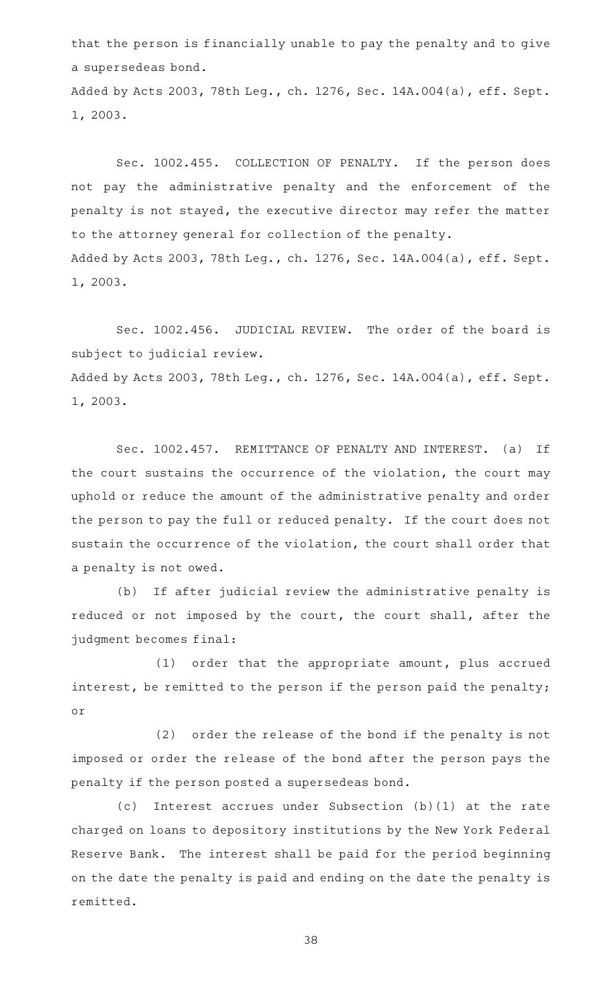that the person is financially unable to pay the penalty and to give a supersedeas bond. Added by Acts 2003, 78th Leg., ch. 1276, Sec. 14A.004(a), eff. Sept.

Sec. 1002.455. COLLECTION OF PENALTY. If the person does not pay the administrative penalty and the enforcement of the penalty is not stayed, the executive director may refer the matter to the attorney general for collection of the penalty. Added by Acts 2003, 78th Leg., ch. 1276, Sec. 14A.004(a), eff. Sept.

1, 2003.

1, 2003.

Sec. 1002.456. JUDICIAL REVIEW. The order of the board is subject to judicial review. Added by Acts 2003, 78th Leg., ch. 1276, Sec. 14A.004(a), eff. Sept. 1, 2003.

Sec. 1002.457. REMITTANCE OF PENALTY AND INTEREST. (a) If the court sustains the occurrence of the violation, the court may uphold or reduce the amount of the administrative penalty and order the person to pay the full or reduced penalty. If the court does not sustain the occurrence of the violation, the court shall order that a penalty is not owed.

(b) If after judicial review the administrative penalty is reduced or not imposed by the court, the court shall, after the judgment becomes final:

 $(1)$  order that the appropriate amount, plus accrued interest, be remitted to the person if the person paid the penalty; or

(2) order the release of the bond if the penalty is not imposed or order the release of the bond after the person pays the penalty if the person posted a supersedeas bond.

(c) Interest accrues under Subsection (b)(1) at the rate charged on loans to depository institutions by the New York Federal Reserve Bank. The interest shall be paid for the period beginning on the date the penalty is paid and ending on the date the penalty is remitted.